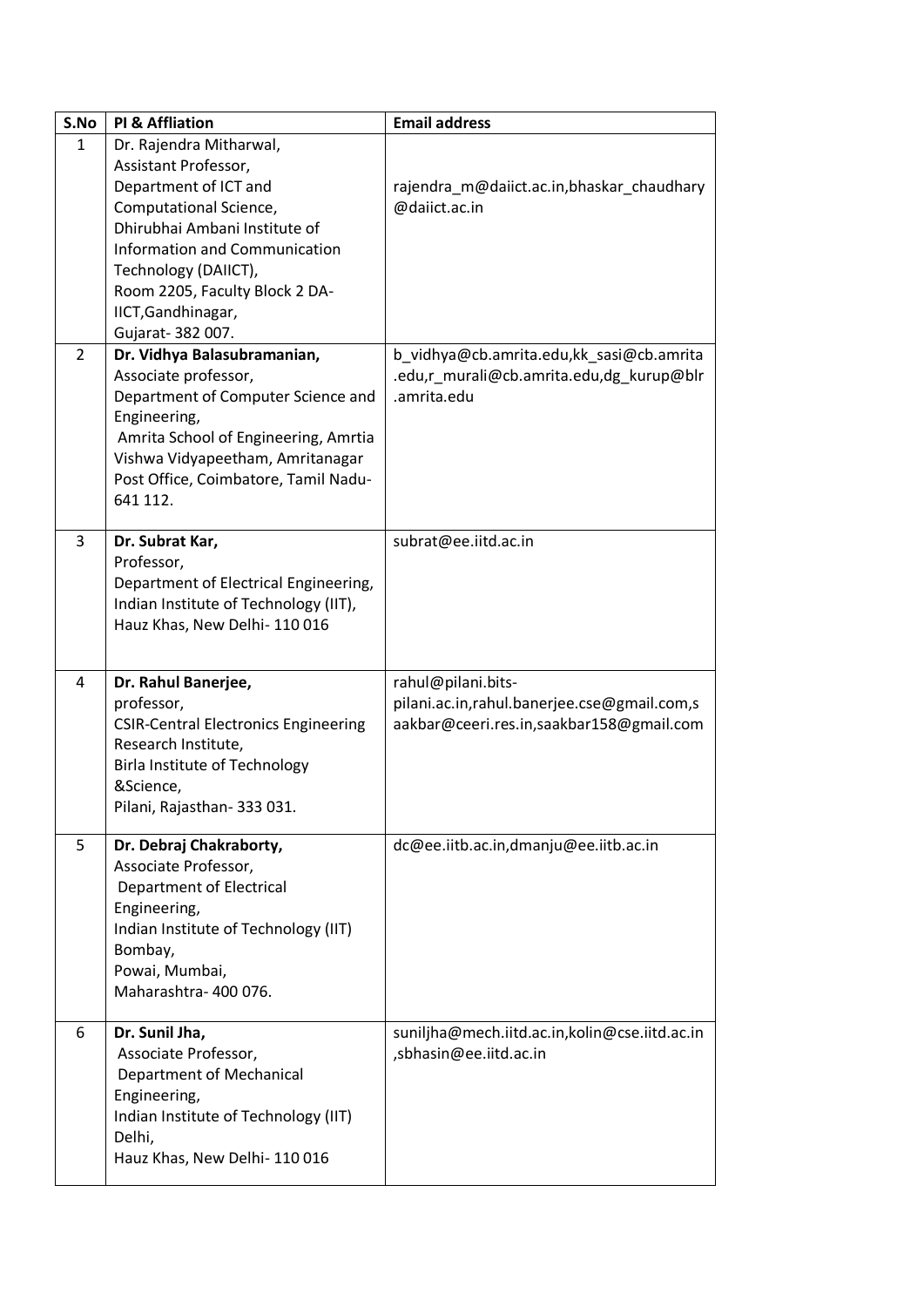| S.No           | <b>PI &amp; Affliation</b>                                               | <b>Email address</b>                          |
|----------------|--------------------------------------------------------------------------|-----------------------------------------------|
| $\mathbf{1}$   | Dr. Rajendra Mitharwal,                                                  |                                               |
|                | Assistant Professor,                                                     |                                               |
|                | Department of ICT and                                                    | rajendra_m@daiict.ac.in,bhaskar_chaudhary     |
|                | Computational Science,                                                   | @daiict.ac.in                                 |
|                | Dhirubhai Ambani Institute of                                            |                                               |
|                | Information and Communication                                            |                                               |
|                | Technology (DAIICT),                                                     |                                               |
|                | Room 2205, Faculty Block 2 DA-                                           |                                               |
|                | IICT, Gandhinagar,                                                       |                                               |
|                | Gujarat- 382 007.                                                        |                                               |
| $\overline{2}$ | Dr. Vidhya Balasubramanian,                                              | b_vidhya@cb.amrita.edu,kk_sasi@cb.amrita      |
|                | Associate professor,                                                     | .edu,r_murali@cb.amrita.edu,dg_kurup@blr      |
|                | Department of Computer Science and                                       | .amrita.edu                                   |
|                | Engineering,                                                             |                                               |
|                | Amrita School of Engineering, Amrtia<br>Vishwa Vidyapeetham, Amritanagar |                                               |
|                | Post Office, Coimbatore, Tamil Nadu-                                     |                                               |
|                | 641 112.                                                                 |                                               |
|                |                                                                          |                                               |
| 3              | Dr. Subrat Kar,                                                          | subrat@ee.iitd.ac.in                          |
|                | Professor,                                                               |                                               |
|                | Department of Electrical Engineering,                                    |                                               |
|                | Indian Institute of Technology (IIT),                                    |                                               |
|                | Hauz Khas, New Delhi-110016                                              |                                               |
|                |                                                                          |                                               |
| 4              | Dr. Rahul Banerjee,                                                      | rahul@pilani.bits-                            |
|                | professor,                                                               | pilani.ac.in,rahul.banerjee.cse@gmail.com,s   |
|                | <b>CSIR-Central Electronics Engineering</b>                              | aakbar@ceeri.res.in,saakbar158@gmail.com      |
|                | Research Institute,                                                      |                                               |
|                | Birla Institute of Technology                                            |                                               |
|                | &Science,                                                                |                                               |
|                | Pilani, Rajasthan- 333 031.                                              |                                               |
|                |                                                                          |                                               |
| 5              | Dr. Debraj Chakraborty,                                                  | dc@ee.iitb.ac.in,dmanju@ee.iitb.ac.in         |
|                | Associate Professor,<br>Department of Electrical                         |                                               |
|                | Engineering,                                                             |                                               |
|                | Indian Institute of Technology (IIT)                                     |                                               |
|                | Bombay,                                                                  |                                               |
|                | Powai, Mumbai,                                                           |                                               |
|                | Maharashtra-400076.                                                      |                                               |
|                |                                                                          |                                               |
| 6              | Dr. Sunil Jha,                                                           | suniljha@mech.iitd.ac.in,kolin@cse.iitd.ac.in |
|                | Associate Professor,                                                     | sbhasin@ee.iitd.ac.in                         |
|                | Department of Mechanical                                                 |                                               |
|                | Engineering,                                                             |                                               |
|                | Indian Institute of Technology (IIT)                                     |                                               |
|                | Delhi,                                                                   |                                               |
|                | Hauz Khas, New Delhi-110016                                              |                                               |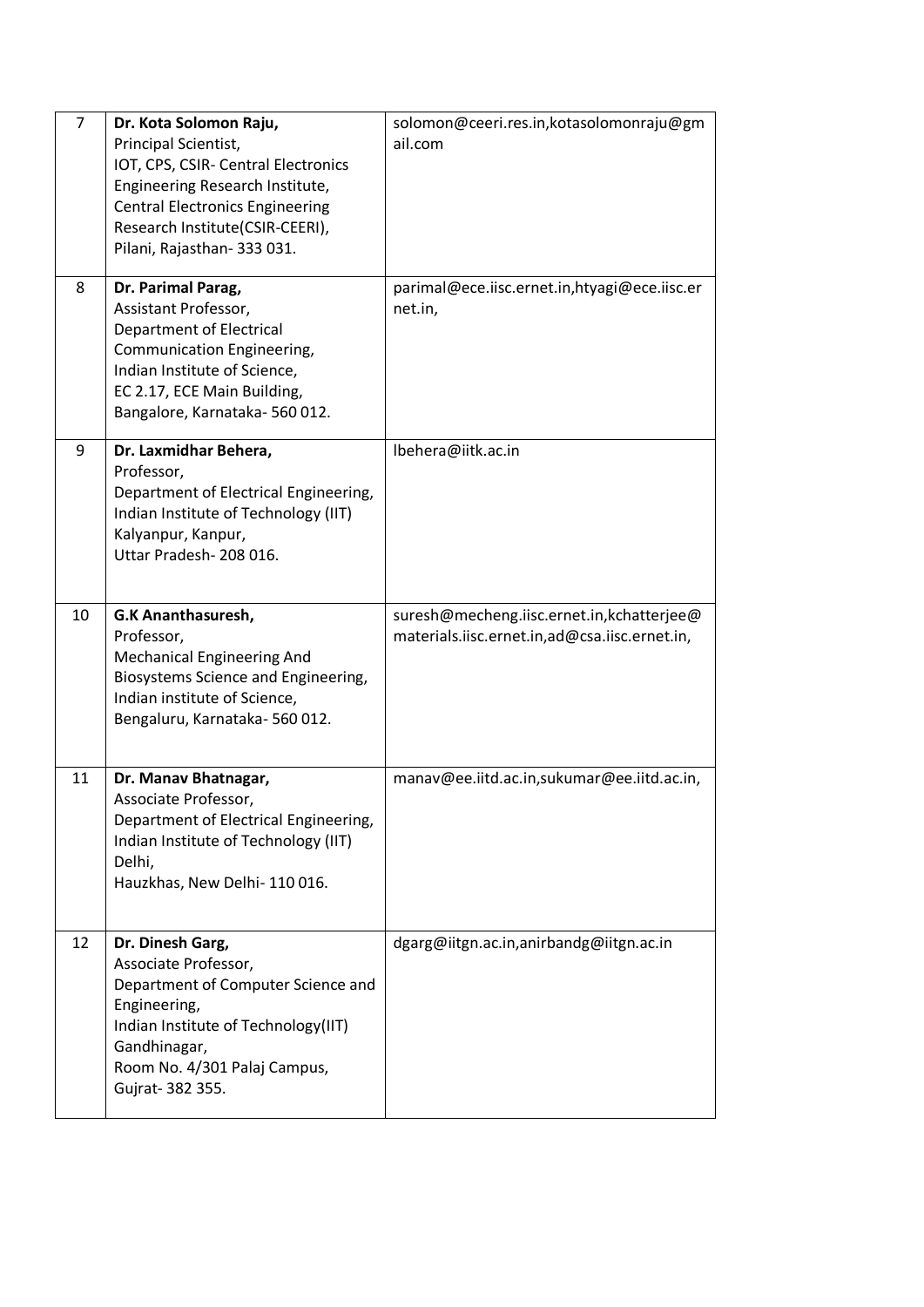| $\overline{7}$ | Dr. Kota Solomon Raju,<br>Principal Scientist,<br>IOT, CPS, CSIR- Central Electronics<br>Engineering Research Institute,<br><b>Central Electronics Engineering</b><br>Research Institute(CSIR-CEERI),<br>Pilani, Rajasthan- 333 031. | solomon@ceeri.res.in,kotasolomonraju@gm<br>ail.com                                         |
|----------------|--------------------------------------------------------------------------------------------------------------------------------------------------------------------------------------------------------------------------------------|--------------------------------------------------------------------------------------------|
| 8              | Dr. Parimal Parag,<br>Assistant Professor,<br><b>Department of Electrical</b><br>Communication Engineering,<br>Indian Institute of Science,<br>EC 2.17, ECE Main Building,<br>Bangalore, Karnataka-560012.                           | parimal@ece.iisc.ernet.in,htyagi@ece.iisc.er<br>net.in,                                    |
| 9              | Dr. Laxmidhar Behera,<br>Professor,<br>Department of Electrical Engineering,<br>Indian Institute of Technology (IIT)<br>Kalyanpur, Kanpur,<br>Uttar Pradesh-208 016.                                                                 | Ibehera@iitk.ac.in                                                                         |
| 10             | G.K Ananthasuresh,<br>Professor,<br><b>Mechanical Engineering And</b><br>Biosystems Science and Engineering,<br>Indian institute of Science,<br>Bengaluru, Karnataka-560 012.                                                        | suresh@mecheng.iisc.ernet.in,kchatterjee@<br>materials.iisc.ernet.in,ad@csa.iisc.ernet.in, |
| 11             | Dr. Manav Bhatnagar,<br>Associate Professor,<br>Department of Electrical Engineering,<br>Indian Institute of Technology (IIT)<br>Delhi,<br>Hauzkhas, New Delhi-110016.                                                               | manav@ee.iitd.ac.in,sukumar@ee.iitd.ac.in,                                                 |
| 12             | Dr. Dinesh Garg,<br>Associate Professor,<br>Department of Computer Science and<br>Engineering,<br>Indian Institute of Technology(IIT)<br>Gandhinagar,<br>Room No. 4/301 Palaj Campus,<br>Gujrat- 382 355.                            | dgarg@iitgn.ac.in,anirbandg@iitgn.ac.in                                                    |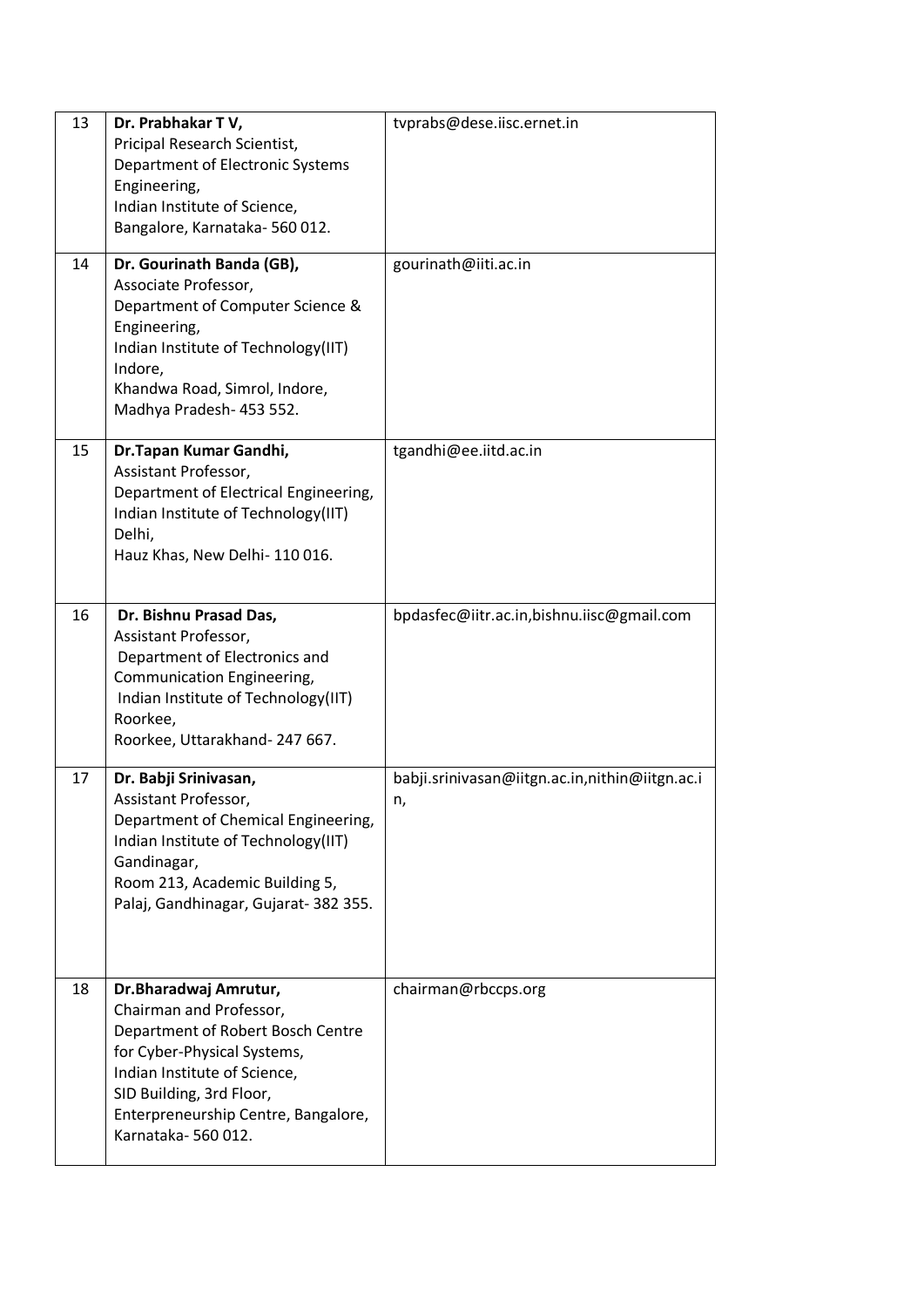| 13 | Dr. Prabhakar TV,<br>Pricipal Research Scientist,<br>Department of Electronic Systems<br>Engineering,<br>Indian Institute of Science,<br>Bangalore, Karnataka-560 012.                                                                       | tvprabs@dese.iisc.ernet.in                           |
|----|----------------------------------------------------------------------------------------------------------------------------------------------------------------------------------------------------------------------------------------------|------------------------------------------------------|
| 14 | Dr. Gourinath Banda (GB),<br>Associate Professor,<br>Department of Computer Science &<br>Engineering,<br>Indian Institute of Technology(IIT)<br>Indore,<br>Khandwa Road, Simrol, Indore,<br>Madhya Pradesh- 453 552.                         | gourinath@iiti.ac.in                                 |
| 15 | Dr.Tapan Kumar Gandhi,<br>Assistant Professor,<br>Department of Electrical Engineering,<br>Indian Institute of Technology(IIT)<br>Delhi,<br>Hauz Khas, New Delhi-110016.                                                                     | tgandhi@ee.iitd.ac.in                                |
| 16 | Dr. Bishnu Prasad Das,<br>Assistant Professor,<br>Department of Electronics and<br>Communication Engineering,<br>Indian Institute of Technology(IIT)<br>Roorkee,<br>Roorkee, Uttarakhand-247 667.                                            | bpdasfec@iitr.ac.in,bishnu.iisc@gmail.com            |
| 17 | Dr. Babji Srinivasan,<br>Assistant Professor,<br>Department of Chemical Engineering,<br>Indian Institute of Technology(IIT)<br>Gandinagar,<br>Room 213, Academic Building 5,<br>Palaj, Gandhinagar, Gujarat- 382 355.                        | babji.srinivasan@iitgn.ac.in,nithin@iitgn.ac.i<br>n, |
| 18 | Dr.Bharadwaj Amrutur,<br>Chairman and Professor,<br>Department of Robert Bosch Centre<br>for Cyber-Physical Systems,<br>Indian Institute of Science,<br>SID Building, 3rd Floor,<br>Enterpreneurship Centre, Bangalore,<br>Karnataka-560012. | chairman@rbccps.org                                  |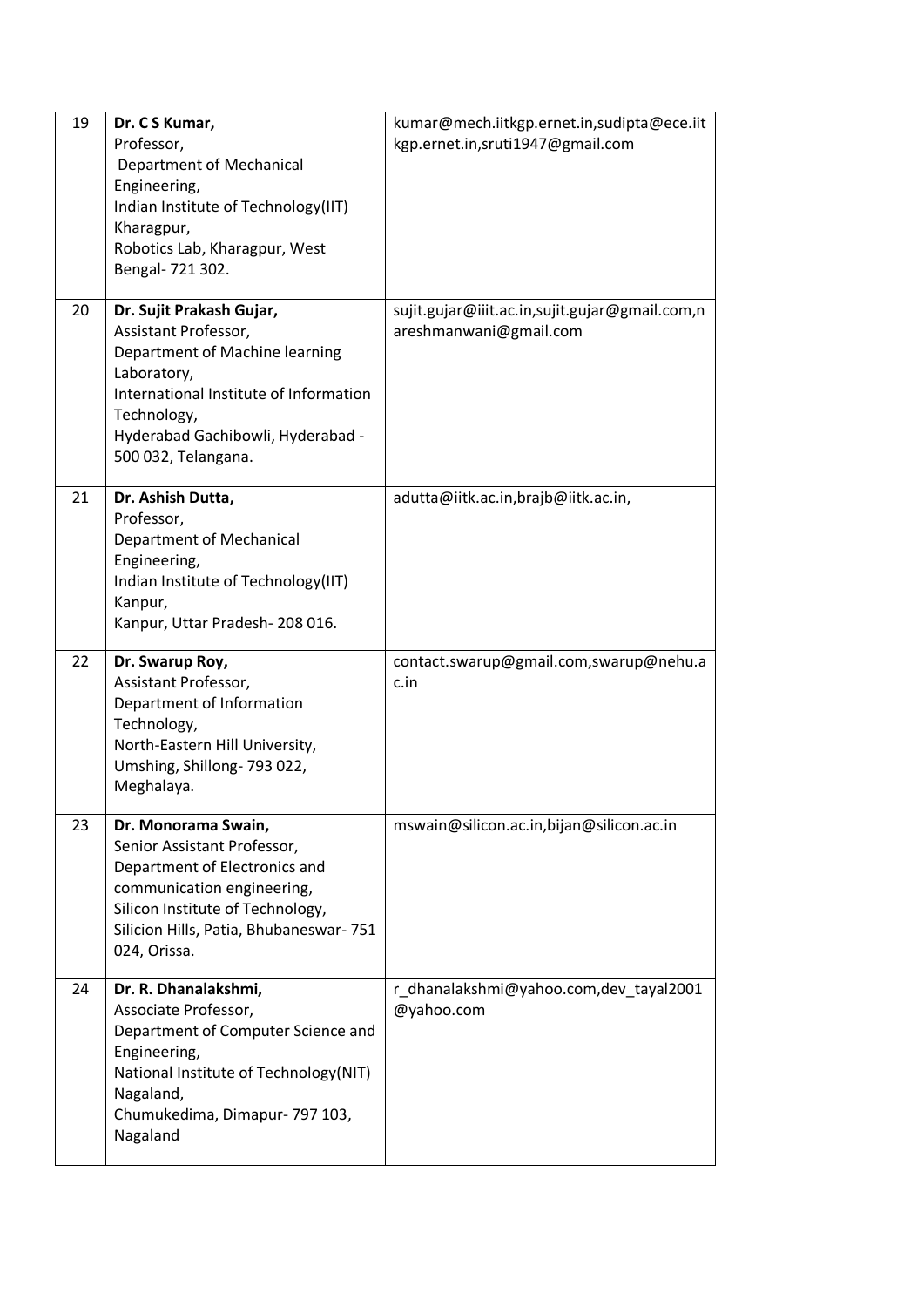| 19 | Dr. C S Kumar,<br>Professor,<br><b>Department of Mechanical</b><br>Engineering,<br>Indian Institute of Technology(IIT)<br>Kharagpur,<br>Robotics Lab, Kharagpur, West<br>Bengal- 721 302.                              | kumar@mech.iitkgp.ernet.in,sudipta@ece.iit<br>kgp.ernet.in,sruti1947@gmail.com |
|----|------------------------------------------------------------------------------------------------------------------------------------------------------------------------------------------------------------------------|--------------------------------------------------------------------------------|
| 20 | Dr. Sujit Prakash Gujar,<br>Assistant Professor,<br>Department of Machine learning<br>Laboratory,<br>International Institute of Information<br>Technology,<br>Hyderabad Gachibowli, Hyderabad -<br>500 032, Telangana. | sujit.gujar@iiit.ac.in,sujit.gujar@gmail.com,n<br>areshmanwani@gmail.com       |
| 21 | Dr. Ashish Dutta,<br>Professor,<br>Department of Mechanical<br>Engineering,<br>Indian Institute of Technology(IIT)<br>Kanpur,<br>Kanpur, Uttar Pradesh-208 016.                                                        | adutta@iitk.ac.in,brajb@iitk.ac.in,                                            |
| 22 | Dr. Swarup Roy,<br>Assistant Professor,<br>Department of Information<br>Technology,<br>North-Eastern Hill University,<br>Umshing, Shillong-793022,<br>Meghalaya.                                                       | contact.swarup@gmail.com,swarup@nehu.a<br>c.in                                 |
| 23 | Dr. Monorama Swain,<br>Senior Assistant Professor,<br>Department of Electronics and<br>communication engineering,<br>Silicon Institute of Technology,<br>Silicion Hills, Patia, Bhubaneswar-751<br>024, Orissa.        | mswain@silicon.ac.in,bijan@silicon.ac.in                                       |
| 24 | Dr. R. Dhanalakshmi,<br>Associate Professor,<br>Department of Computer Science and<br>Engineering,<br>National Institute of Technology(NIT)<br>Nagaland,<br>Chumukedima, Dimapur- 797 103,<br>Nagaland                 | r_dhanalakshmi@yahoo.com,dev_tayal2001<br>@yahoo.com                           |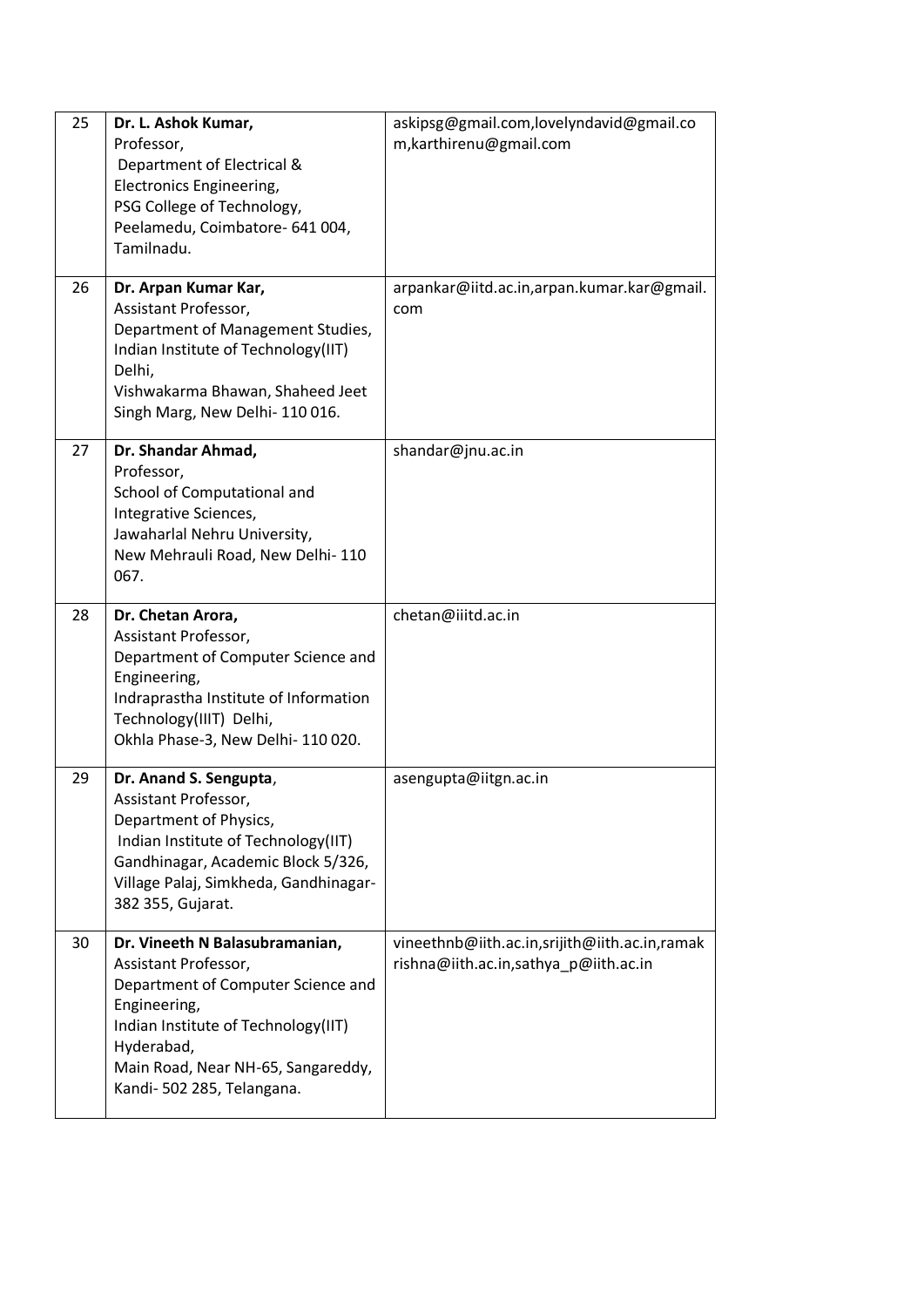| 25 | Dr. L. Ashok Kumar,<br>Professor,<br>Department of Electrical &<br>Electronics Engineering,<br>PSG College of Technology,<br>Peelamedu, Coimbatore- 641 004,<br>Tamilnadu.                                                            | askipsg@gmail.com,lovelyndavid@gmail.co<br>m, karthirenu@gmail.com                     |
|----|---------------------------------------------------------------------------------------------------------------------------------------------------------------------------------------------------------------------------------------|----------------------------------------------------------------------------------------|
| 26 | Dr. Arpan Kumar Kar,<br>Assistant Professor,<br>Department of Management Studies,<br>Indian Institute of Technology(IIT)<br>Delhi,<br>Vishwakarma Bhawan, Shaheed Jeet<br>Singh Marg, New Delhi-110016.                               | arpankar@iitd.ac.in,arpan.kumar.kar@gmail.<br>com                                      |
| 27 | Dr. Shandar Ahmad,<br>Professor,<br>School of Computational and<br>Integrative Sciences,<br>Jawaharlal Nehru University,<br>New Mehrauli Road, New Delhi-110<br>067.                                                                  | shandar@jnu.ac.in                                                                      |
| 28 | Dr. Chetan Arora,<br>Assistant Professor,<br>Department of Computer Science and<br>Engineering,<br>Indraprastha Institute of Information<br>Technology(IIIT) Delhi,<br>Okhla Phase-3, New Delhi-110020.                               | chetan@iiitd.ac.in                                                                     |
| 29 | Dr. Anand S. Sengupta,<br>Assistant Professor,<br>Department of Physics,<br>Indian Institute of Technology(IIT)<br>Gandhinagar, Academic Block 5/326,<br>Village Palaj, Simkheda, Gandhinagar-<br>382 355, Gujarat.                   | asengupta@iitgn.ac.in                                                                  |
| 30 | Dr. Vineeth N Balasubramanian,<br>Assistant Professor,<br>Department of Computer Science and<br>Engineering,<br>Indian Institute of Technology(IIT)<br>Hyderabad,<br>Main Road, Near NH-65, Sangareddy,<br>Kandi- 502 285, Telangana. | vineethnb@iith.ac.in,srijith@iith.ac.in,ramak<br>rishna@iith.ac.in,sathya_p@iith.ac.in |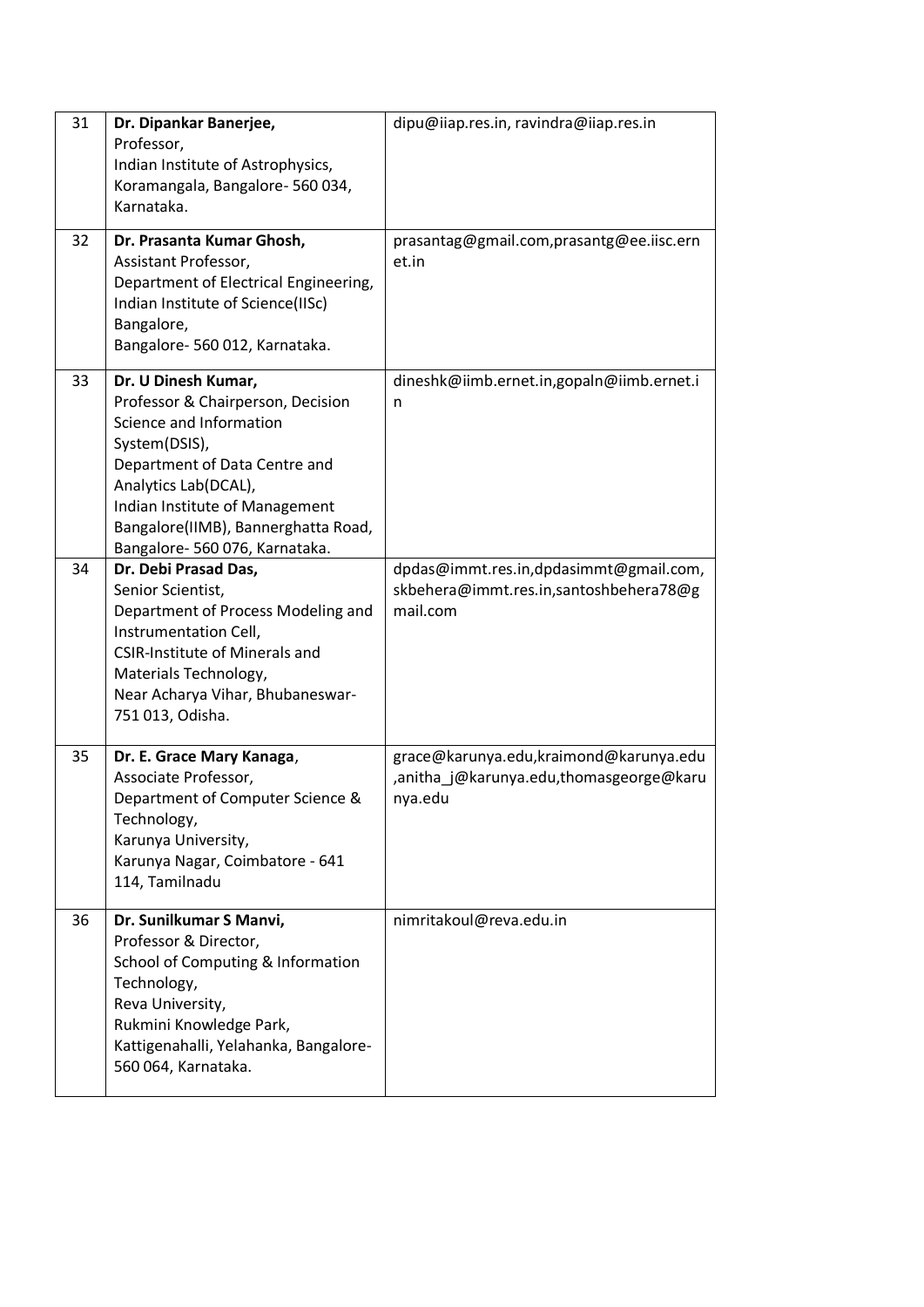| 31 | Dr. Dipankar Banerjee,<br>Professor,<br>Indian Institute of Astrophysics,<br>Koramangala, Bangalore-560034,<br>Karnataka.                                                                                                                                                | dipu@iiap.res.in, ravindra@iiap.res.in                                                       |
|----|--------------------------------------------------------------------------------------------------------------------------------------------------------------------------------------------------------------------------------------------------------------------------|----------------------------------------------------------------------------------------------|
| 32 | Dr. Prasanta Kumar Ghosh,<br>Assistant Professor,<br>Department of Electrical Engineering,<br>Indian Institute of Science(IISc)<br>Bangalore,<br>Bangalore- 560 012, Karnataka.                                                                                          | prasantag@gmail.com,prasantg@ee.iisc.ern<br>et.in                                            |
| 33 | Dr. U Dinesh Kumar,<br>Professor & Chairperson, Decision<br>Science and Information<br>System(DSIS),<br>Department of Data Centre and<br>Analytics Lab(DCAL),<br>Indian Institute of Management<br>Bangalore(IIMB), Bannerghatta Road,<br>Bangalore- 560 076, Karnataka. | dineshk@iimb.ernet.in,gopaln@iimb.ernet.i<br>n                                               |
| 34 | Dr. Debi Prasad Das,<br>Senior Scientist,<br>Department of Process Modeling and<br>Instrumentation Cell,<br><b>CSIR-Institute of Minerals and</b><br>Materials Technology,<br>Near Acharya Vihar, Bhubaneswar-<br>751 013, Odisha.                                       | dpdas@immt.res.in,dpdasimmt@gmail.com,<br>skbehera@immt.res.in,santoshbehera78@g<br>mail.com |
| 35 | Dr. E. Grace Mary Kanaga,<br>Associate Professor,<br>Department of Computer Science &<br>Technology,<br>Karunya University,<br>Karunya Nagar, Coimbatore - 641<br>114, Tamilnadu                                                                                         | grace@karunya.edu,kraimond@karunya.edu<br>,anitha j@karunya.edu,thomasgeorge@karu<br>nya.edu |
| 36 | Dr. Sunilkumar S Manvi,<br>Professor & Director,<br>School of Computing & Information<br>Technology,<br>Reva University,<br>Rukmini Knowledge Park,<br>Kattigenahalli, Yelahanka, Bangalore-<br>560 064, Karnataka.                                                      | nimritakoul@reva.edu.in                                                                      |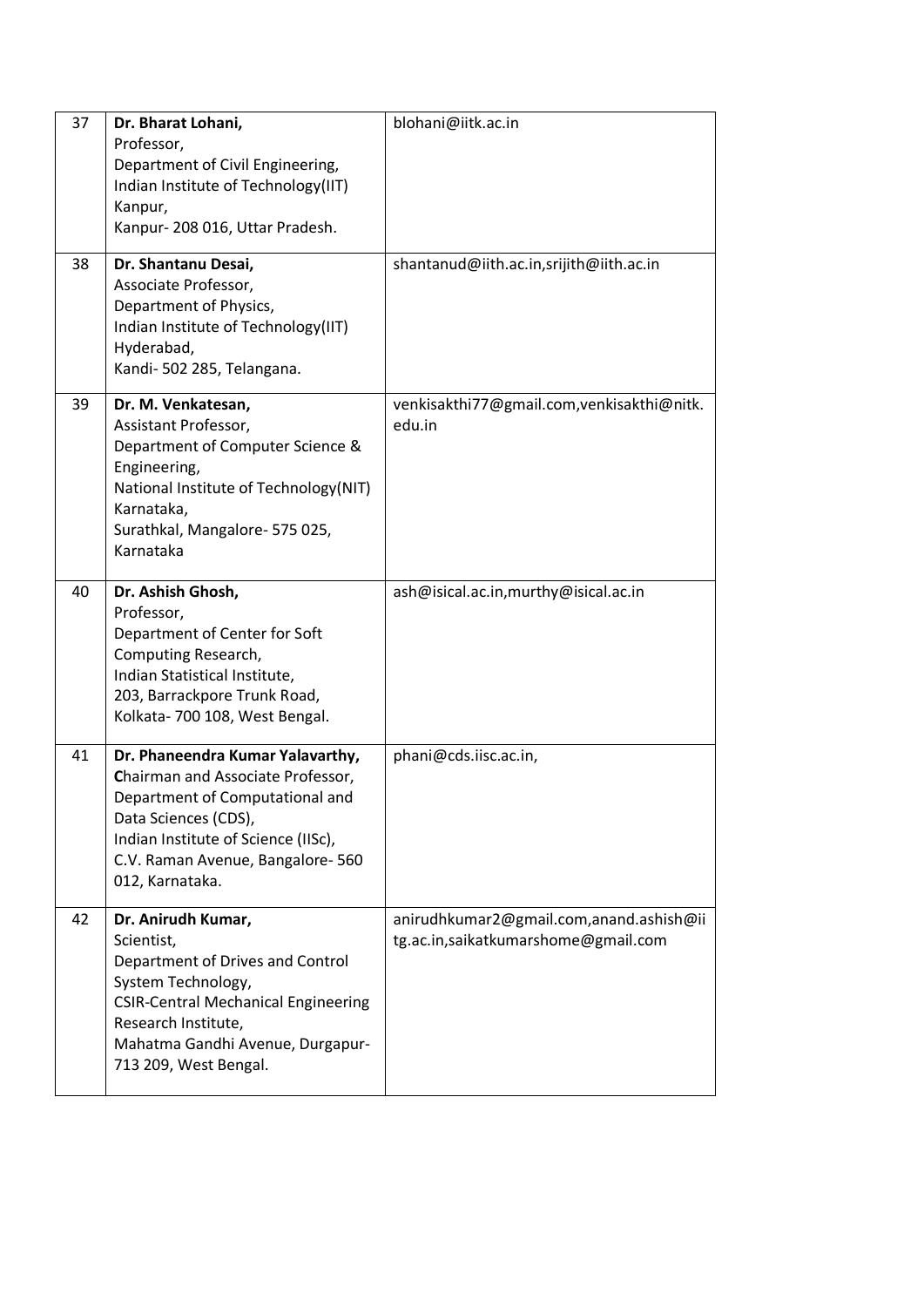| 37 | Dr. Bharat Lohani,<br>Professor,<br>Department of Civil Engineering,<br>Indian Institute of Technology(IIT)<br>Kanpur,<br>Kanpur-208 016, Uttar Pradesh.                                                                       | blohani@iitk.ac.in                                                             |
|----|--------------------------------------------------------------------------------------------------------------------------------------------------------------------------------------------------------------------------------|--------------------------------------------------------------------------------|
| 38 | Dr. Shantanu Desai,<br>Associate Professor,<br>Department of Physics,<br>Indian Institute of Technology(IIT)<br>Hyderabad,<br>Kandi- 502 285, Telangana.                                                                       | shantanud@iith.ac.in,srijith@iith.ac.in                                        |
| 39 | Dr. M. Venkatesan,<br>Assistant Professor,<br>Department of Computer Science &<br>Engineering,<br>National Institute of Technology(NIT)<br>Karnataka,<br>Surathkal, Mangalore- 575 025,<br>Karnataka                           | venkisakthi77@gmail.com, venkisakthi@nitk.<br>edu.in                           |
| 40 | Dr. Ashish Ghosh,<br>Professor,<br>Department of Center for Soft<br>Computing Research,<br>Indian Statistical Institute,<br>203, Barrackpore Trunk Road,<br>Kolkata-700 108, West Bengal.                                      | ash@isical.ac.in,murthy@isical.ac.in                                           |
| 41 | Dr. Phaneendra Kumar Yalavarthy,<br>Chairman and Associate Professor,<br>Department of Computational and<br>Data Sciences (CDS),<br>Indian Institute of Science (IISc),<br>C.V. Raman Avenue, Bangalore-560<br>012, Karnataka. | phani@cds.iisc.ac.in,                                                          |
| 42 | Dr. Anirudh Kumar,<br>Scientist,<br>Department of Drives and Control<br>System Technology,<br><b>CSIR-Central Mechanical Engineering</b><br>Research Institute,<br>Mahatma Gandhi Avenue, Durgapur-<br>713 209, West Bengal.   | anirudhkumar2@gmail.com,anand.ashish@ii<br>tg.ac.in,saikatkumarshome@gmail.com |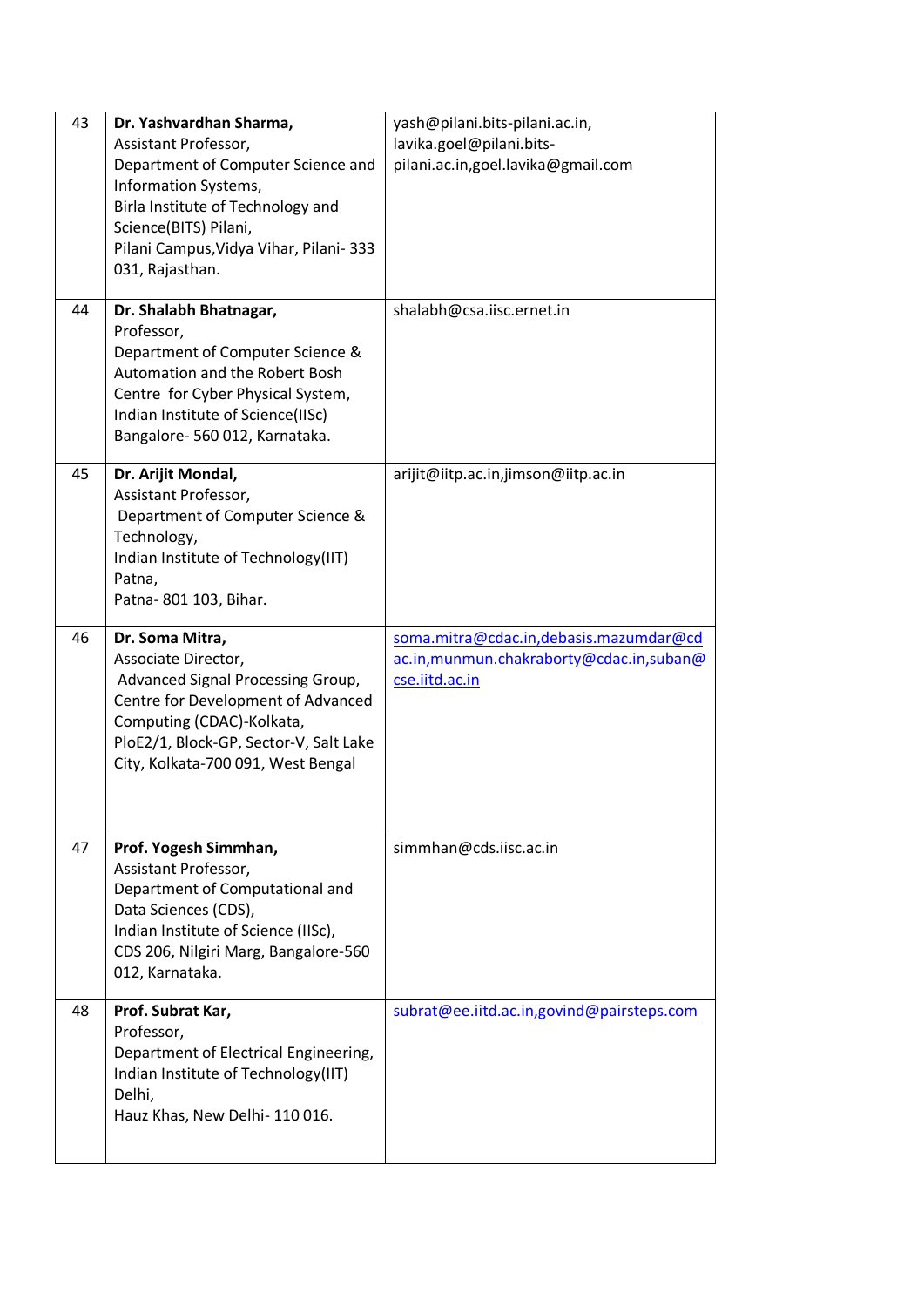| 43 | Dr. Yashvardhan Sharma,<br>Assistant Professor,<br>Department of Computer Science and<br>Information Systems,<br>Birla Institute of Technology and<br>Science(BITS) Pilani,<br>Pilani Campus, Vidya Vihar, Pilani-333<br>031, Rajasthan. | yash@pilani.bits-pilani.ac.in,<br>lavika.goel@pilani.bits-<br>pilani.ac.in,goel.lavika@gmail.com      |
|----|------------------------------------------------------------------------------------------------------------------------------------------------------------------------------------------------------------------------------------------|-------------------------------------------------------------------------------------------------------|
| 44 | Dr. Shalabh Bhatnagar,<br>Professor,<br>Department of Computer Science &<br>Automation and the Robert Bosh<br>Centre for Cyber Physical System,<br>Indian Institute of Science(IISc)<br>Bangalore-560 012, Karnataka.                    | shalabh@csa.iisc.ernet.in                                                                             |
| 45 | Dr. Arijit Mondal,<br>Assistant Professor,<br>Department of Computer Science &<br>Technology,<br>Indian Institute of Technology(IIT)<br>Patna,<br>Patna-801 103, Bihar.                                                                  | arijit@iitp.ac.in,jimson@iitp.ac.in                                                                   |
| 46 | Dr. Soma Mitra,<br>Associate Director,<br>Advanced Signal Processing Group,<br>Centre for Development of Advanced<br>Computing (CDAC)-Kolkata,<br>PloE2/1, Block-GP, Sector-V, Salt Lake<br>City, Kolkata-700 091, West Bengal           | soma.mitra@cdac.in,debasis.mazumdar@cd<br>ac.in, munmun.chakraborty@cdac.in, suban@<br>cse.iitd.ac.in |
| 47 | Prof. Yogesh Simmhan,<br>Assistant Professor,<br>Department of Computational and<br>Data Sciences (CDS),<br>Indian Institute of Science (IISc),<br>CDS 206, Nilgiri Marg, Bangalore-560<br>012, Karnataka.                               | simmhan@cds.iisc.ac.in                                                                                |
| 48 | Prof. Subrat Kar,<br>Professor,<br>Department of Electrical Engineering,<br>Indian Institute of Technology(IIT)<br>Delhi,<br>Hauz Khas, New Delhi-110016.                                                                                | subrat@ee.iitd.ac.in,govind@pairsteps.com                                                             |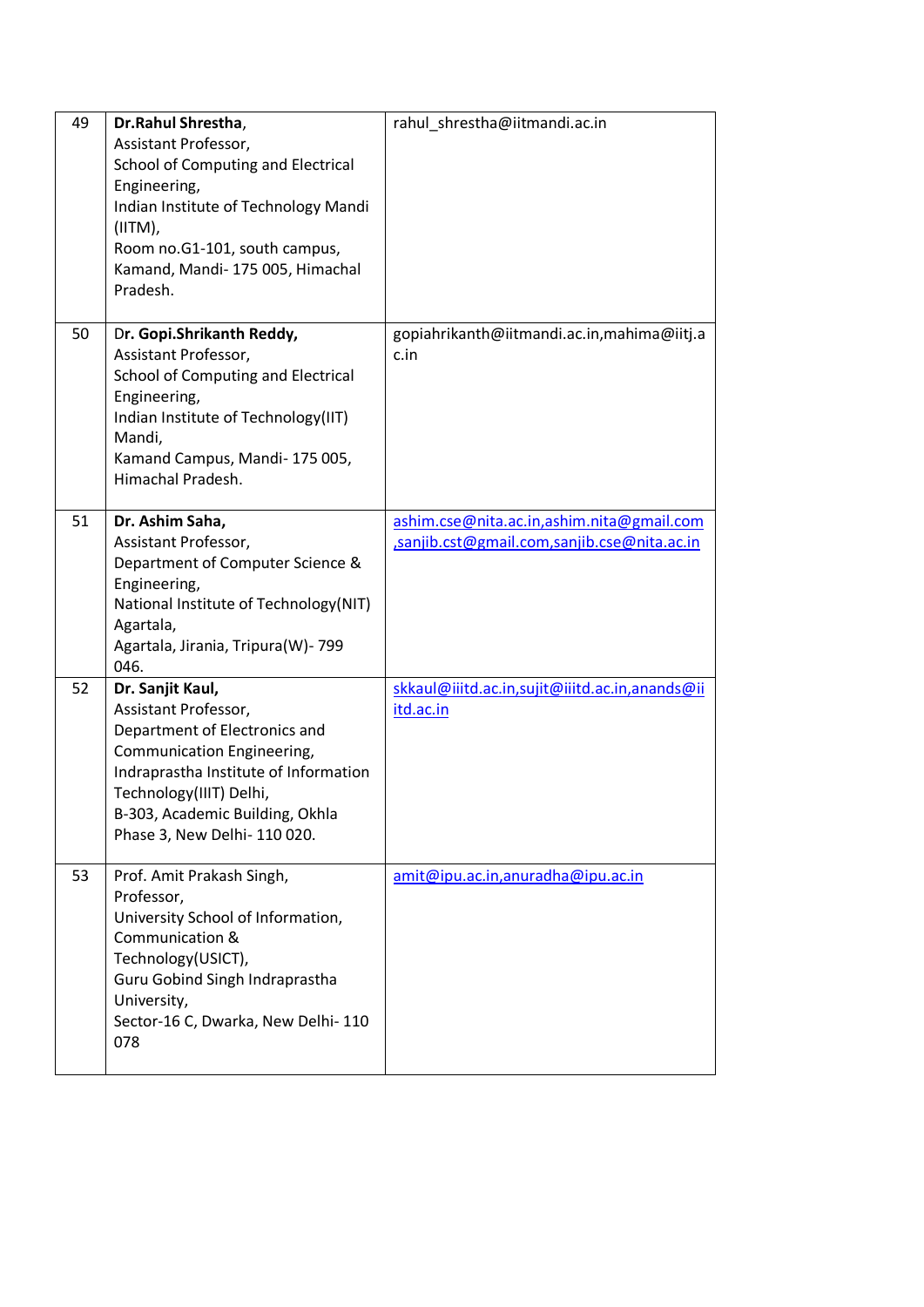| 49 | Dr.Rahul Shrestha,<br>Assistant Professor,<br>School of Computing and Electrical<br>Engineering,<br>Indian Institute of Technology Mandi<br>(IITM),<br>Room no.G1-101, south campus,<br>Kamand, Mandi- 175 005, Himachal<br>Pradesh.           | rahul shrestha@iitmandi.ac.in                                                            |
|----|------------------------------------------------------------------------------------------------------------------------------------------------------------------------------------------------------------------------------------------------|------------------------------------------------------------------------------------------|
| 50 | Dr. Gopi.Shrikanth Reddy,<br>Assistant Professor,<br>School of Computing and Electrical<br>Engineering,<br>Indian Institute of Technology(IIT)<br>Mandi,<br>Kamand Campus, Mandi-175005,<br>Himachal Pradesh.                                  | gopiahrikanth@iitmandi.ac.in,mahima@iitj.a<br>c.in                                       |
| 51 | Dr. Ashim Saha,<br>Assistant Professor,<br>Department of Computer Science &<br>Engineering,<br>National Institute of Technology(NIT)<br>Agartala,<br>Agartala, Jirania, Tripura(W)-799<br>046.                                                 | ashim.cse@nita.ac.in,ashim.nita@gmail.com<br>.sanjib.cst@gmail.com,sanjib.cse@nita.ac.in |
| 52 | Dr. Sanjit Kaul,<br>Assistant Professor,<br>Department of Electronics and<br>Communication Engineering,<br>Indraprastha Institute of Information<br>Technology(IIIT) Delhi,<br>B-303, Academic Building, Okhla<br>Phase 3, New Delhi- 110 020. | skkaul@iiitd.ac.in,sujit@iiitd.ac.in,anands@ii<br>itd.ac.in                              |
| 53 | Prof. Amit Prakash Singh,<br>Professor,<br>University School of Information,<br>Communication &<br>Technology(USICT),<br>Guru Gobind Singh Indraprastha<br>University,<br>Sector-16 C, Dwarka, New Delhi-110<br>078                            | amit@ipu.ac.in,anuradha@ipu.ac.in                                                        |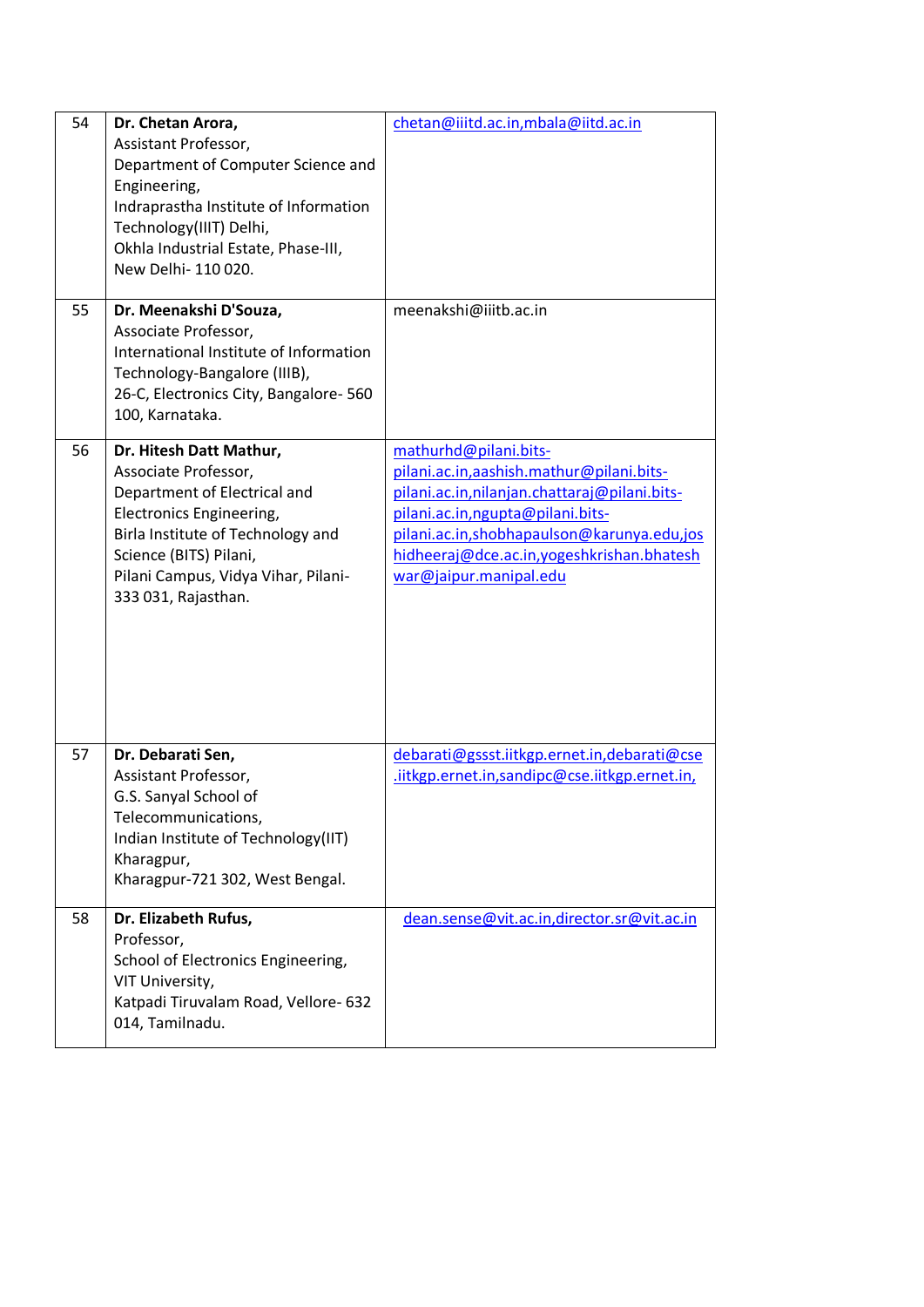| 54 | Dr. Chetan Arora,<br>Assistant Professor,<br>Department of Computer Science and<br>Engineering,<br>Indraprastha Institute of Information<br>Technology(IIIT) Delhi,<br>Okhla Industrial Estate, Phase-III,<br>New Delhi- 110 020.        | chetan@iiitd.ac.in,mbala@iitd.ac.in                                                                                                                                                                                                                                          |
|----|------------------------------------------------------------------------------------------------------------------------------------------------------------------------------------------------------------------------------------------|------------------------------------------------------------------------------------------------------------------------------------------------------------------------------------------------------------------------------------------------------------------------------|
| 55 | Dr. Meenakshi D'Souza,<br>Associate Professor,<br>International Institute of Information<br>Technology-Bangalore (IIIB),<br>26-C, Electronics City, Bangalore- 560<br>100, Karnataka.                                                    | meenakshi@iiitb.ac.in                                                                                                                                                                                                                                                        |
| 56 | Dr. Hitesh Datt Mathur,<br>Associate Professor,<br>Department of Electrical and<br>Electronics Engineering,<br>Birla Institute of Technology and<br>Science (BITS) Pilani,<br>Pilani Campus, Vidya Vihar, Pilani-<br>333 031, Rajasthan. | mathurhd@pilani.bits-<br>pilani.ac.in,aashish.mathur@pilani.bits-<br>pilani.ac.in, nilanjan.chattaraj@pilani.bits-<br>pilani.ac.in, ngupta@pilani.bits-<br>pilani.ac.in,shobhapaulson@karunya.edu,jos<br>hidheeraj@dce.ac.in,yogeshkrishan.bhatesh<br>war@jaipur.manipal.edu |
| 57 | Dr. Debarati Sen,<br>Assistant Professor,<br>G.S. Sanyal School of<br>Telecommunications,<br>Indian Institute of Technology(IIT)<br>Kharagpur,<br>Kharagpur-721 302, West Bengal.                                                        | debarati@gssst.iitkgp.ernet.in,debarati@cse<br>.iitkgp.ernet.in,sandipc@cse.iitkgp.ernet.in,                                                                                                                                                                                 |
| 58 | Dr. Elizabeth Rufus,<br>Professor,<br>School of Electronics Engineering,<br>VIT University,<br>Katpadi Tiruvalam Road, Vellore- 632<br>014, Tamilnadu.                                                                                   | dean.sense@vit.ac.in,director.sr@vit.ac.in                                                                                                                                                                                                                                   |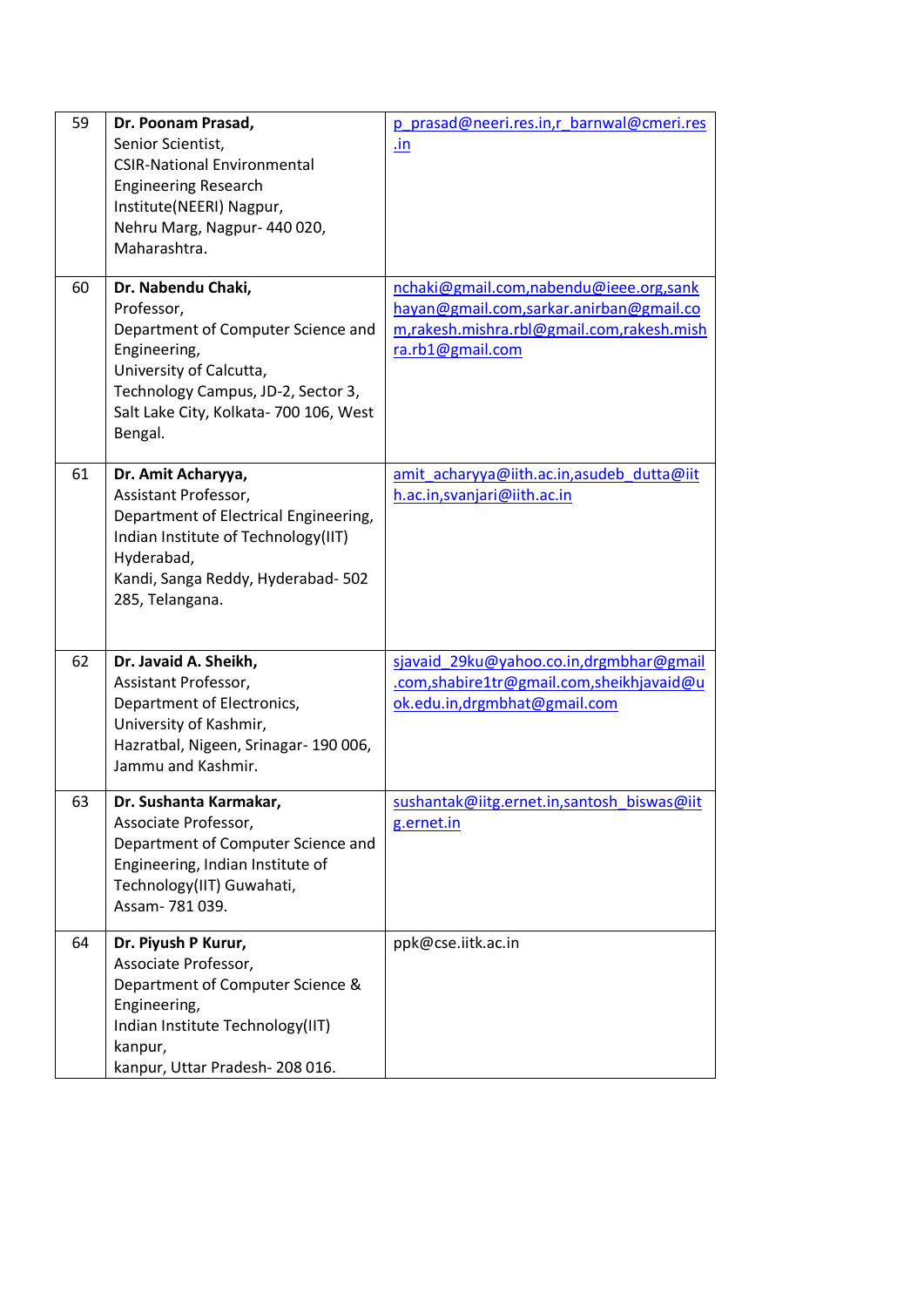| 59 | Dr. Poonam Prasad,<br>Senior Scientist,<br><b>CSIR-National Environmental</b><br><b>Engineering Research</b><br>Institute(NEERI) Nagpur,<br>Nehru Marg, Nagpur- 440 020,<br>Maharashtra.                     | p prasad@neeri.res.in,r barnwal@cmeri.res<br>.in                                                                                                   |
|----|--------------------------------------------------------------------------------------------------------------------------------------------------------------------------------------------------------------|----------------------------------------------------------------------------------------------------------------------------------------------------|
| 60 | Dr. Nabendu Chaki,<br>Professor,<br>Department of Computer Science and<br>Engineering,<br>University of Calcutta,<br>Technology Campus, JD-2, Sector 3,<br>Salt Lake City, Kolkata- 700 106, West<br>Bengal. | nchaki@gmail.com,nabendu@ieee.org,sank<br>hayan@gmail.com,sarkar.anirban@gmail.co<br>m,rakesh.mishra.rbl@gmail.com,rakesh.mish<br>ra.rb1@gmail.com |
| 61 | Dr. Amit Acharyya,<br>Assistant Professor,<br>Department of Electrical Engineering,<br>Indian Institute of Technology(IIT)<br>Hyderabad,<br>Kandi, Sanga Reddy, Hyderabad- 502<br>285, Telangana.            | amit acharyya@iith.ac.in,asudeb dutta@iit<br>h.ac.in, svanjari@iith.ac.in                                                                          |
| 62 | Dr. Javaid A. Sheikh,<br>Assistant Professor,<br>Department of Electronics,<br>University of Kashmir,<br>Hazratbal, Nigeen, Srinagar- 190 006,<br>Jammu and Kashmir.                                         | sjavaid_29ku@yahoo.co.in,drgmbhar@gmail<br>.com,shabire1tr@gmail.com,sheikhjavaid@u<br>ok.edu.in,drgmbhat@gmail.com                                |
| 63 | Dr. Sushanta Karmakar,<br>Associate Professor,<br>Department of Computer Science and<br>Engineering, Indian Institute of<br>Technology(IIT) Guwahati,<br>Assam-781039.                                       | sushantak@iitg.ernet.in,santosh biswas@iit<br>g.ernet.in                                                                                           |
| 64 | Dr. Piyush P Kurur,<br>Associate Professor,<br>Department of Computer Science &<br>Engineering,<br>Indian Institute Technology(IIT)<br>kanpur,<br>kanpur, Uttar Pradesh-208016.                              | ppk@cse.iitk.ac.in                                                                                                                                 |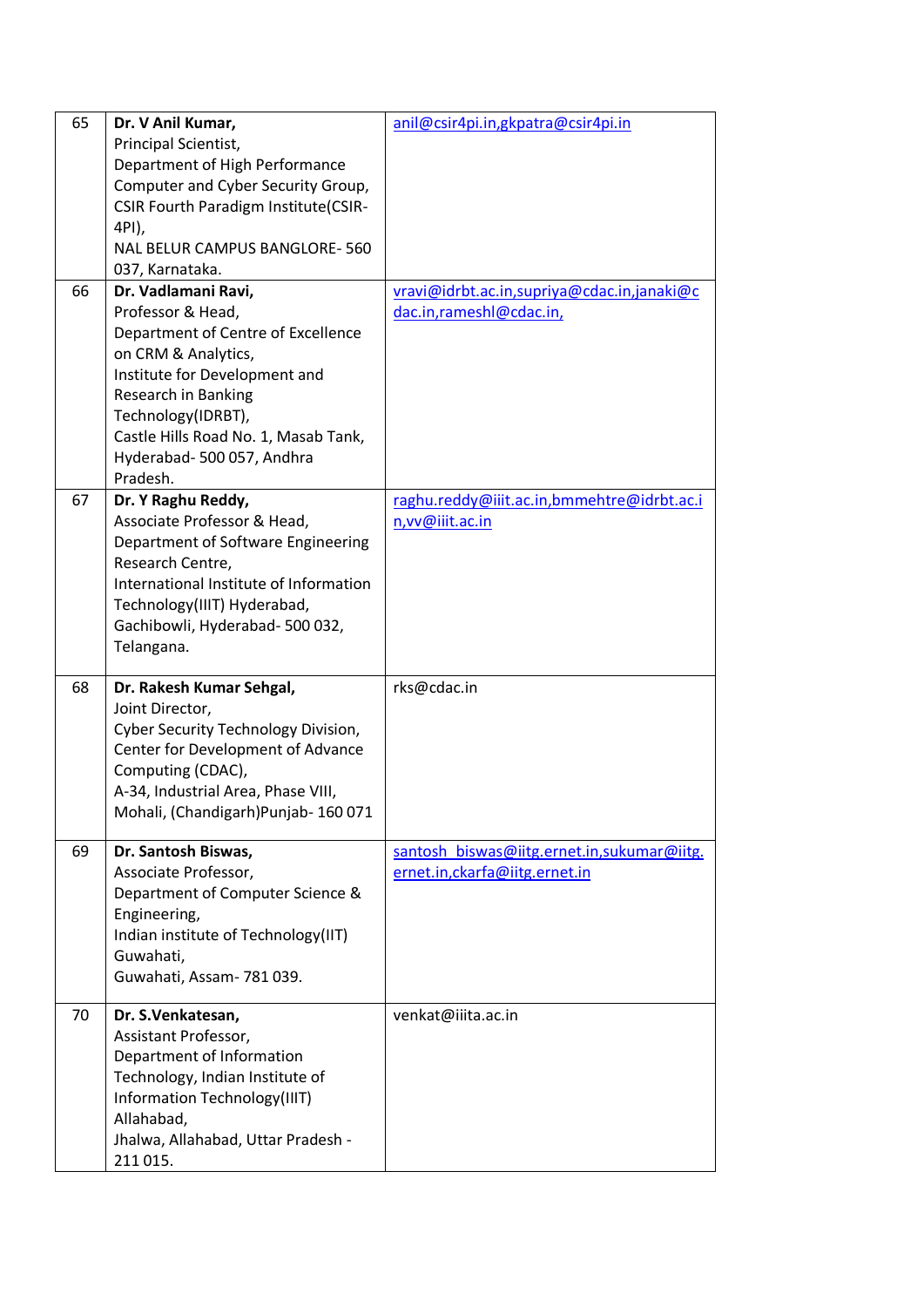| 65 | Dr. V Anil Kumar,<br>Principal Scientist,<br>Department of High Performance<br>Computer and Cyber Security Group,<br><b>CSIR Fourth Paradigm Institute(CSIR-</b><br>4PI),<br>NAL BELUR CAMPUS BANGLORE-560<br>037, Karnataka.                                        | anil@csir4pi.in,gkpatra@csir4pi.in                                           |
|----|----------------------------------------------------------------------------------------------------------------------------------------------------------------------------------------------------------------------------------------------------------------------|------------------------------------------------------------------------------|
| 66 | Dr. Vadlamani Ravi,<br>Professor & Head,<br>Department of Centre of Excellence<br>on CRM & Analytics,<br>Institute for Development and<br>Research in Banking<br>Technology(IDRBT),<br>Castle Hills Road No. 1, Masab Tank,<br>Hyderabad-500 057, Andhra<br>Pradesh. | vravi@idrbt.ac.in,supriya@cdac.in,janaki@c<br>dac.in,rameshl@cdac.in,        |
| 67 | Dr. Y Raghu Reddy,<br>Associate Professor & Head,<br>Department of Software Engineering<br>Research Centre,<br>International Institute of Information<br>Technology(IIIT) Hyderabad,<br>Gachibowli, Hyderabad- 500 032,<br>Telangana.                                | raghu.reddy@iiit.ac.in,bmmehtre@idrbt.ac.i<br>n, vv@iiit.ac.in               |
| 68 | Dr. Rakesh Kumar Sehgal,<br>Joint Director,<br>Cyber Security Technology Division,<br>Center for Development of Advance<br>Computing (CDAC),<br>A-34, Industrial Area, Phase VIII,<br>Mohali, (Chandigarh)Punjab-160071                                              | rks@cdac.in                                                                  |
| 69 | Dr. Santosh Biswas,<br>Associate Professor,<br>Department of Computer Science &<br>Engineering,<br>Indian institute of Technology(IIT)<br>Guwahati,<br>Guwahati, Assam- 781 039.                                                                                     | santosh_biswas@iitg.ernet.in,sukumar@iitg.<br>ernet.in, ckarfa@iitg.ernet.in |
| 70 | Dr. S.Venkatesan,<br>Assistant Professor,<br>Department of Information<br>Technology, Indian Institute of<br>Information Technology(IIIT)<br>Allahabad,<br>Jhalwa, Allahabad, Uttar Pradesh -<br>211 015.                                                            | venkat@iiita.ac.in                                                           |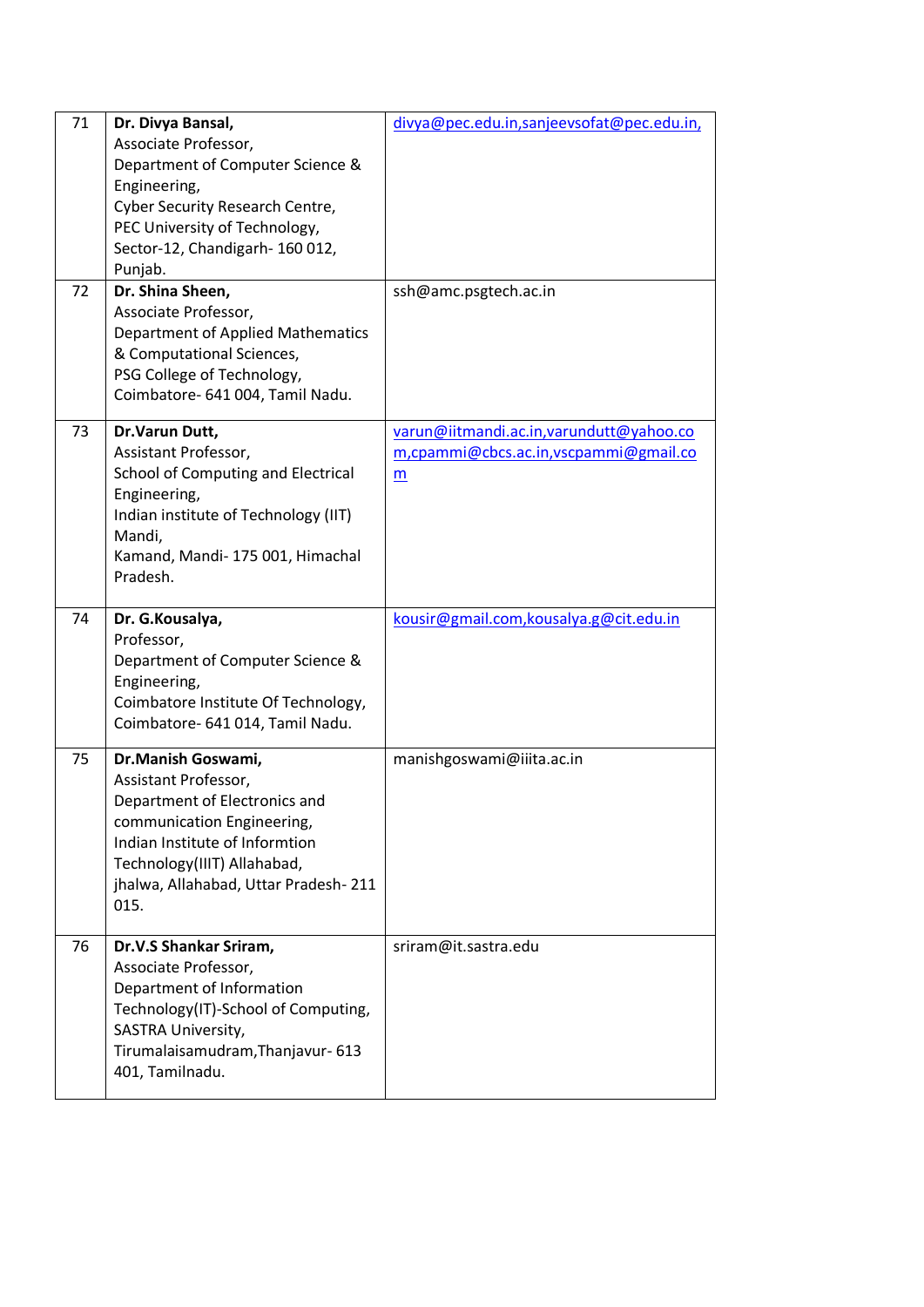| 71<br>72 | Dr. Divya Bansal,<br>Associate Professor,<br>Department of Computer Science &<br>Engineering,<br><b>Cyber Security Research Centre,</b><br>PEC University of Technology,<br>Sector-12, Chandigarh-160012,<br>Punjab.<br>Dr. Shina Sheen,<br>Associate Professor,<br>Department of Applied Mathematics<br>& Computational Sciences,<br>PSG College of Technology,<br>Coimbatore- 641 004, Tamil Nadu. | divya@pec.edu.in,sanjeevsofat@pec.edu.in,<br>ssh@amc.psgtech.ac.in                     |
|----------|------------------------------------------------------------------------------------------------------------------------------------------------------------------------------------------------------------------------------------------------------------------------------------------------------------------------------------------------------------------------------------------------------|----------------------------------------------------------------------------------------|
| 73       | Dr.Varun Dutt,<br>Assistant Professor,<br>School of Computing and Electrical<br>Engineering,<br>Indian institute of Technology (IIT)<br>Mandi,<br>Kamand, Mandi-175 001, Himachal<br>Pradesh.                                                                                                                                                                                                        | varun@iitmandi.ac.in, varundutt@yahoo.co<br>m,cpammi@cbcs.ac.in,vscpammi@gmail.co<br>m |
| 74       | Dr. G.Kousalya,<br>Professor,<br>Department of Computer Science &<br>Engineering,<br>Coimbatore Institute Of Technology,<br>Coimbatore- 641 014, Tamil Nadu.                                                                                                                                                                                                                                         | kousir@gmail.com,kousalya.g@cit.edu.in                                                 |
| 75       | Dr.Manish Goswami,<br>Assistant Professor,<br>Department of Electronics and<br>communication Engineering,<br>Indian Institute of Informtion<br>Technology(IIIT) Allahabad,<br>jhalwa, Allahabad, Uttar Pradesh-211<br>015.                                                                                                                                                                           | manishgoswami@iiita.ac.in                                                              |
| 76       | Dr.V.S Shankar Sriram,<br>Associate Professor,<br>Department of Information<br>Technology(IT)-School of Computing,<br>SASTRA University,<br>Tirumalaisamudram, Thanjavur- 613<br>401, Tamilnadu.                                                                                                                                                                                                     | sriram@it.sastra.edu                                                                   |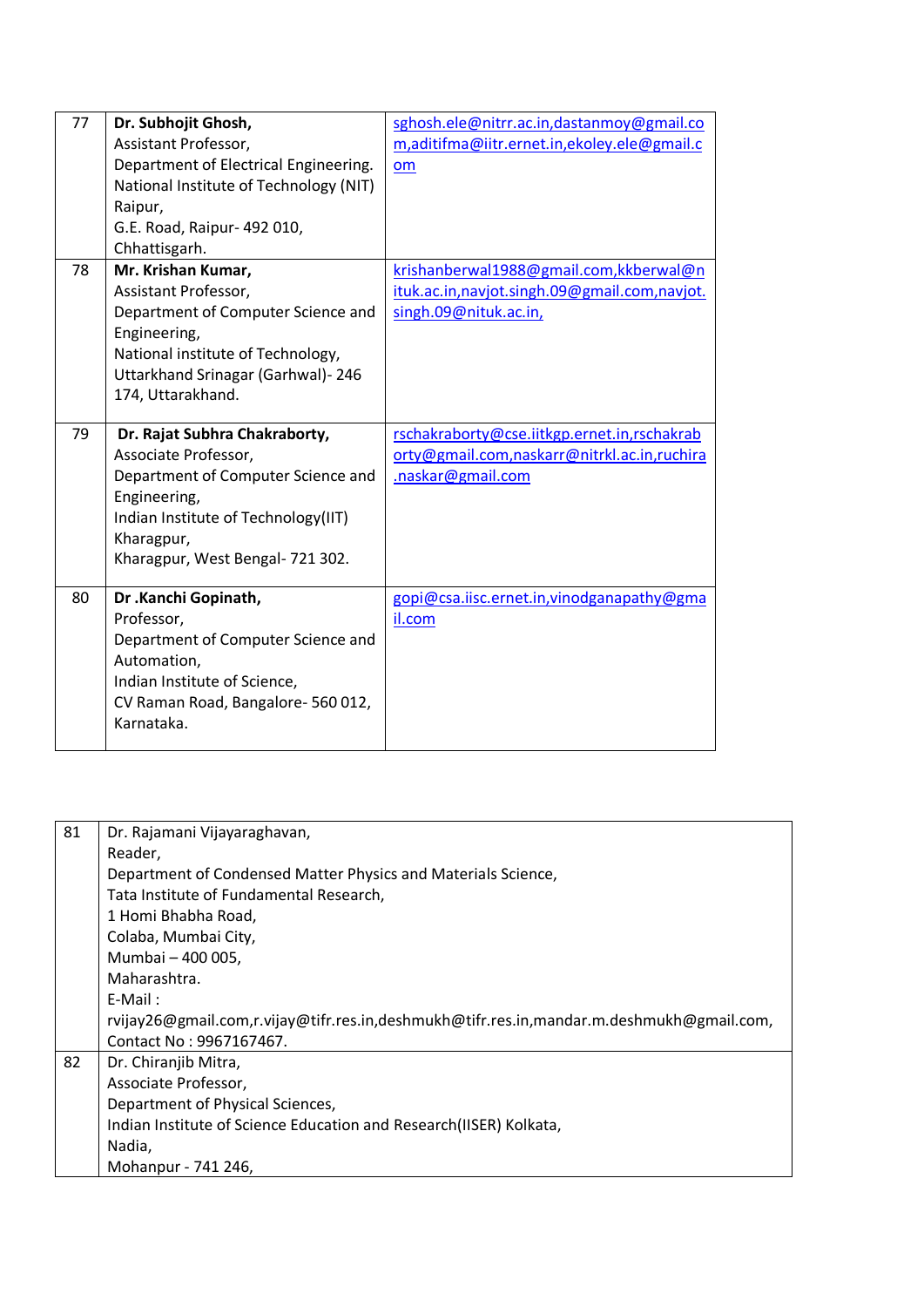| 77 | Dr. Subhojit Ghosh,<br>Assistant Professor,<br>Department of Electrical Engineering.<br>National Institute of Technology (NIT)<br>Raipur,<br>G.E. Road, Raipur- 492 010,<br>Chhattisgarh.            | sghosh.ele@nitrr.ac.in,dastanmoy@gmail.co<br>m,aditifma@iitr.ernet.in,ekoley.ele@gmail.c<br>om                   |
|----|------------------------------------------------------------------------------------------------------------------------------------------------------------------------------------------------------|------------------------------------------------------------------------------------------------------------------|
| 78 | Mr. Krishan Kumar,<br>Assistant Professor,<br>Department of Computer Science and<br>Engineering,<br>National institute of Technology,<br>Uttarkhand Srinagar (Garhwal)-246<br>174, Uttarakhand.      | krishanberwal1988@gmail.com, kkberwal@n<br>ituk.ac.in,navjot.singh.09@gmail.com,navjot.<br>singh.09@nituk.ac.in, |
| 79 | Dr. Rajat Subhra Chakraborty,<br>Associate Professor,<br>Department of Computer Science and<br>Engineering,<br>Indian Institute of Technology(IIT)<br>Kharagpur,<br>Kharagpur, West Bengal- 721 302. | rschakraborty@cse.iitkgp.ernet.in,rschakrab<br>orty@gmail.com,naskarr@nitrkl.ac.in,ruchira<br>.naskar@gmail.com  |
| 80 | Dr .Kanchi Gopinath,<br>Professor,<br>Department of Computer Science and<br>Automation,<br>Indian Institute of Science,<br>CV Raman Road, Bangalore-560 012,<br>Karnataka.                           | gopi@csa.iisc.ernet.in,vinodganapathy@gma<br>il.com                                                              |

| 81 | Dr. Rajamani Vijayaraghavan,                                                             |
|----|------------------------------------------------------------------------------------------|
|    | Reader,                                                                                  |
|    | Department of Condensed Matter Physics and Materials Science,                            |
|    | Tata Institute of Fundamental Research,                                                  |
|    | 1 Homi Bhabha Road,                                                                      |
|    | Colaba, Mumbai City,                                                                     |
|    | Mumbai - 400 005,                                                                        |
|    | Maharashtra.                                                                             |
|    | $E-Mail:$                                                                                |
|    | rvijay26@gmail.com,r.vijay@tifr.res.in,deshmukh@tifr.res.in,mandar.m.deshmukh@gmail.com, |
|    | Contact No: 9967167467.                                                                  |
| 82 | Dr. Chiranjib Mitra,                                                                     |
|    | Associate Professor,                                                                     |
|    | Department of Physical Sciences,                                                         |
|    | Indian Institute of Science Education and Research(IISER) Kolkata,                       |
|    | Nadia,                                                                                   |
|    | Mohanpur - 741 246,                                                                      |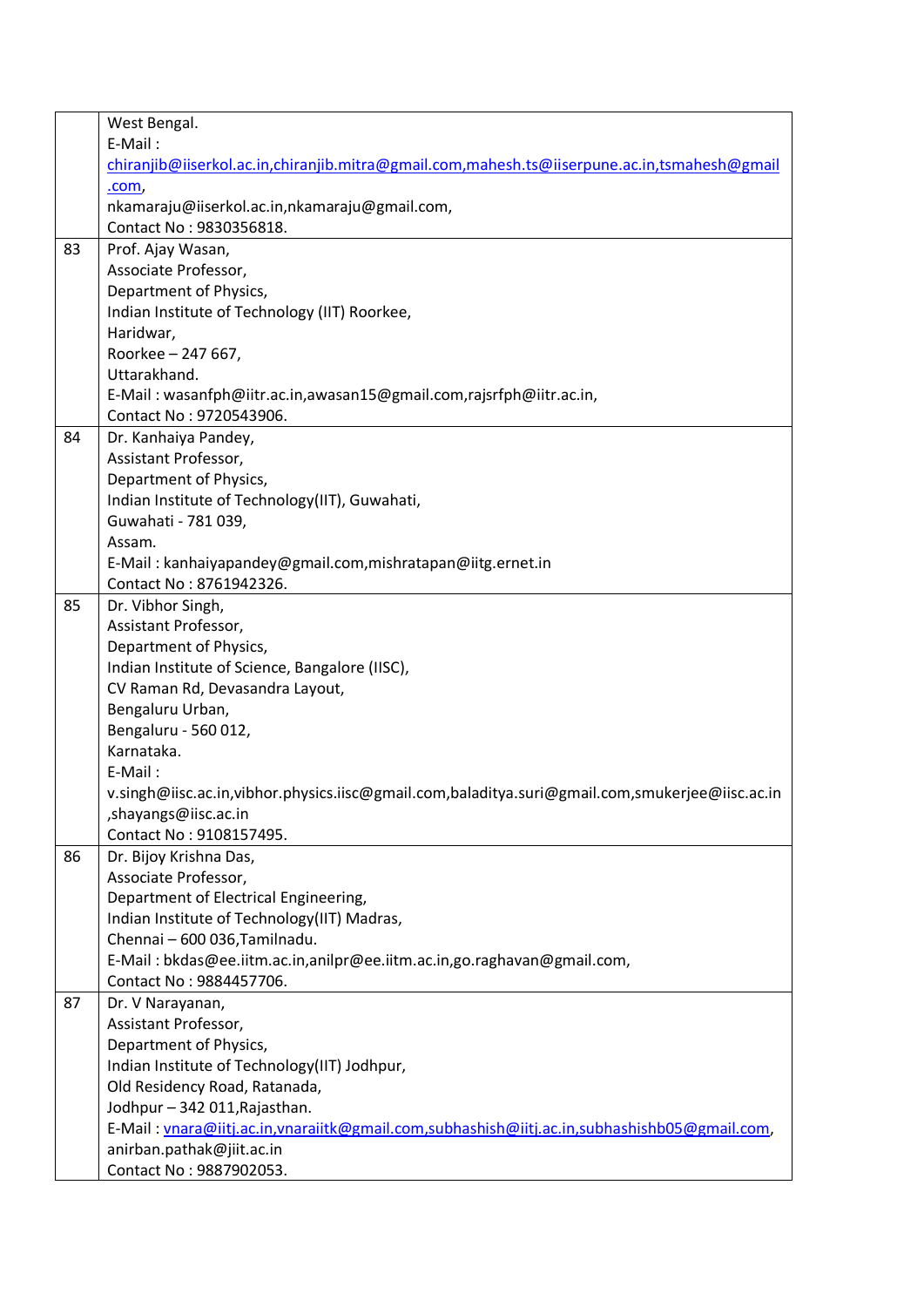|    | West Bengal.                                                                                   |
|----|------------------------------------------------------------------------------------------------|
|    | E-Mail:                                                                                        |
|    | chiranjib@iiserkol.ac.in,chiranjib.mitra@gmail.com,mahesh.ts@iiserpune.ac.in,tsmahesh@gmail    |
|    | <u>.com,</u>                                                                                   |
|    | nkamaraju@iiserkol.ac.in,nkamaraju@gmail.com,                                                  |
|    | Contact No: 9830356818.                                                                        |
| 83 | Prof. Ajay Wasan,                                                                              |
|    | Associate Professor,                                                                           |
|    | Department of Physics,                                                                         |
|    | Indian Institute of Technology (IIT) Roorkee,                                                  |
|    | Haridwar,                                                                                      |
|    | Roorkee - 247 667,                                                                             |
|    | Uttarakhand.                                                                                   |
|    | E-Mail: wasanfph@iitr.ac.in,awasan15@gmail.com,rajsrfph@iitr.ac.in,                            |
|    | Contact No: 9720543906.                                                                        |
| 84 | Dr. Kanhaiya Pandey,                                                                           |
|    | Assistant Professor,                                                                           |
|    | Department of Physics,                                                                         |
|    | Indian Institute of Technology(IIT), Guwahati,                                                 |
|    | Guwahati - 781 039,                                                                            |
|    | Assam.                                                                                         |
|    | E-Mail: kanhaiyapandey@gmail.com,mishratapan@iitg.ernet.in                                     |
|    | Contact No: 8761942326.                                                                        |
| 85 | Dr. Vibhor Singh,                                                                              |
|    | Assistant Professor,                                                                           |
|    | Department of Physics,                                                                         |
|    | Indian Institute of Science, Bangalore (IISC),                                                 |
|    | CV Raman Rd, Devasandra Layout,                                                                |
|    | Bengaluru Urban,                                                                               |
|    | Bengaluru - 560 012,                                                                           |
|    | Karnataka.                                                                                     |
|    | E-Mail:                                                                                        |
|    | v.singh@iisc.ac.in,vibhor.physics.iisc@gmail.com,baladitya.suri@gmail.com,smukerjee@iisc.ac.in |
|    | shayangs@iisc.ac.in,                                                                           |
|    | Contact No: 9108157495.                                                                        |
| 86 | Dr. Bijoy Krishna Das,                                                                         |
|    | Associate Professor,                                                                           |
|    | Department of Electrical Engineering,                                                          |
|    | Indian Institute of Technology(IIT) Madras,                                                    |
|    | Chennai - 600 036, Tamilnadu.                                                                  |
|    | E-Mail: bkdas@ee.iitm.ac.in,anilpr@ee.iitm.ac.in,go.raghavan@gmail.com,                        |
|    | Contact No: 9884457706.                                                                        |
| 87 | Dr. V Narayanan,                                                                               |
|    | Assistant Professor,                                                                           |
|    | Department of Physics,                                                                         |
|    | Indian Institute of Technology(IIT) Jodhpur,                                                   |
|    | Old Residency Road, Ratanada,                                                                  |
|    | Jodhpur - 342 011, Rajasthan.                                                                  |
|    | E-Mail: vnara@iitj.ac.in,vnaraiitk@gmail.com,subhashish@iitj.ac.in,subhashishb05@gmail.com,    |
|    | anirban.pathak@jiit.ac.in                                                                      |
|    | Contact No: 9887902053.                                                                        |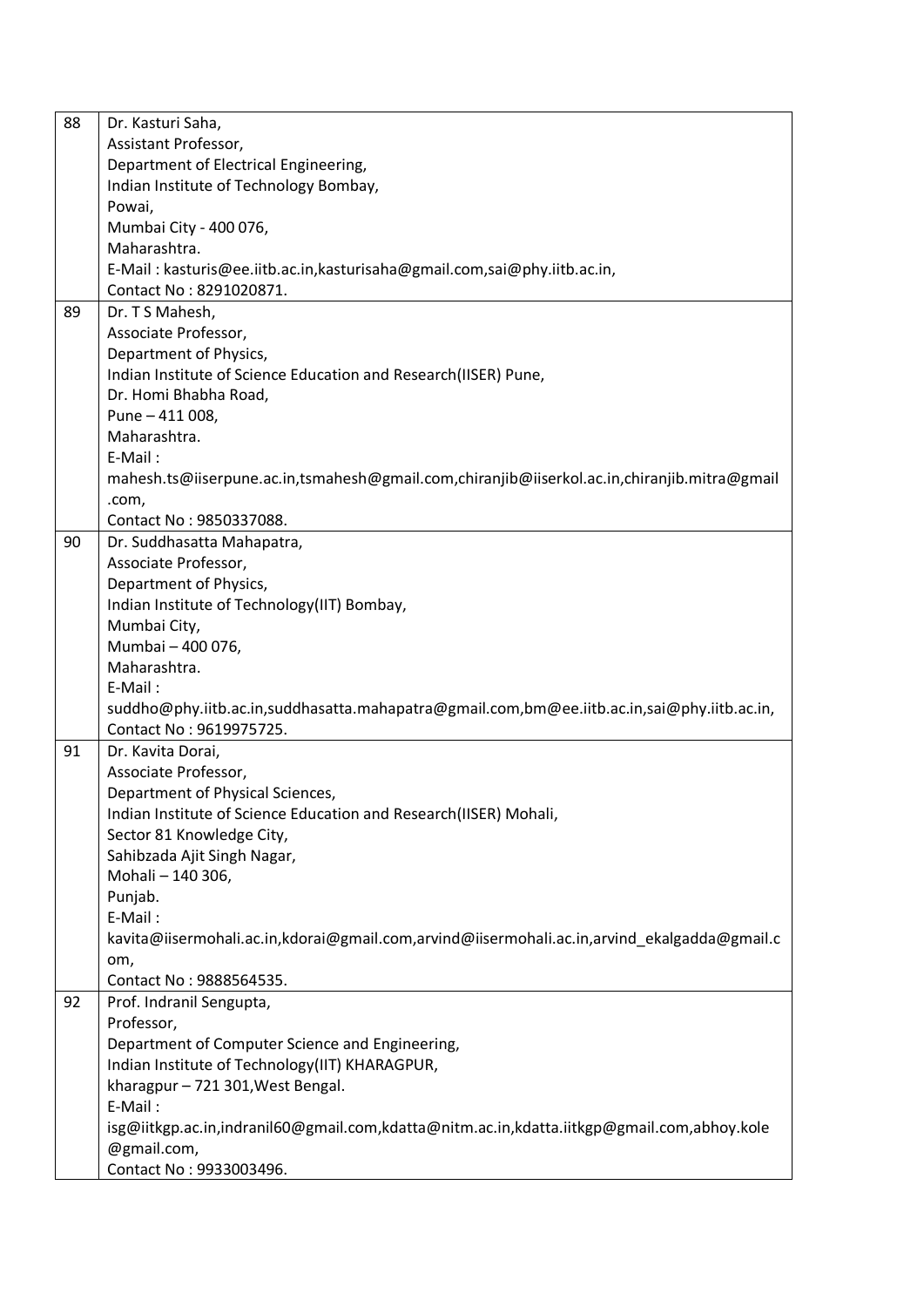| 88 | Dr. Kasturi Saha,                                                                           |
|----|---------------------------------------------------------------------------------------------|
|    | Assistant Professor,                                                                        |
|    | Department of Electrical Engineering,                                                       |
|    | Indian Institute of Technology Bombay,                                                      |
|    | Powai,                                                                                      |
|    | Mumbai City - 400 076,                                                                      |
|    | Maharashtra.                                                                                |
|    | E-Mail: kasturis@ee.iitb.ac.in, kasturisaha@gmail.com, sai@phy.iitb.ac.in,                  |
|    | Contact No: 8291020871.                                                                     |
|    |                                                                                             |
| 89 | Dr. T S Mahesh,                                                                             |
|    | Associate Professor,                                                                        |
|    | Department of Physics,                                                                      |
|    | Indian Institute of Science Education and Research(IISER) Pune,                             |
|    | Dr. Homi Bhabha Road,                                                                       |
|    | Pune - 411 008,                                                                             |
|    | Maharashtra.                                                                                |
|    | E-Mail:                                                                                     |
|    | mahesh.ts@iiserpune.ac.in,tsmahesh@gmail.com,chiranjib@iiserkol.ac.in,chiranjib.mitra@gmail |
|    | .com,                                                                                       |
|    | Contact No: 9850337088.                                                                     |
| 90 | Dr. Suddhasatta Mahapatra,                                                                  |
|    | Associate Professor,                                                                        |
|    | Department of Physics,                                                                      |
|    | Indian Institute of Technology(IIT) Bombay,                                                 |
|    | Mumbai City,                                                                                |
|    | Mumbai - 400 076,                                                                           |
|    |                                                                                             |
|    | Maharashtra.                                                                                |
|    | E-Mail:                                                                                     |
|    | suddho@phy.iitb.ac.in,suddhasatta.mahapatra@gmail.com,bm@ee.iitb.ac.in,sai@phy.iitb.ac.in,  |
|    | Contact No: 9619975725.                                                                     |
| 91 | Dr. Kavita Dorai,                                                                           |
|    | Associate Professor,                                                                        |
|    | Department of Physical Sciences,                                                            |
|    | Indian Institute of Science Education and Research(IISER) Mohali,                           |
|    | Sector 81 Knowledge City,                                                                   |
|    | Sahibzada Ajit Singh Nagar,                                                                 |
|    | Mohali - 140 306,                                                                           |
|    | Punjab.                                                                                     |
|    | E-Mail:                                                                                     |
|    | kavita@iisermohali.ac.in,kdorai@gmail.com,arvind@iisermohali.ac.in,arvind_ekalgadda@gmail.c |
|    | om,                                                                                         |
|    | Contact No: 9888564535.                                                                     |
| 92 | Prof. Indranil Sengupta,                                                                    |
|    | Professor,                                                                                  |
|    | Department of Computer Science and Engineering,                                             |
|    | Indian Institute of Technology(IIT) KHARAGPUR,                                              |
|    |                                                                                             |
|    | kharagpur - 721 301, West Bengal.                                                           |
|    | E-Mail:                                                                                     |
|    | isg@iitkgp.ac.in,indranil60@gmail.com,kdatta@nitm.ac.in,kdatta.iitkgp@gmail.com,abhoy.kole  |
|    | @gmail.com,                                                                                 |
|    | Contact No: 9933003496.                                                                     |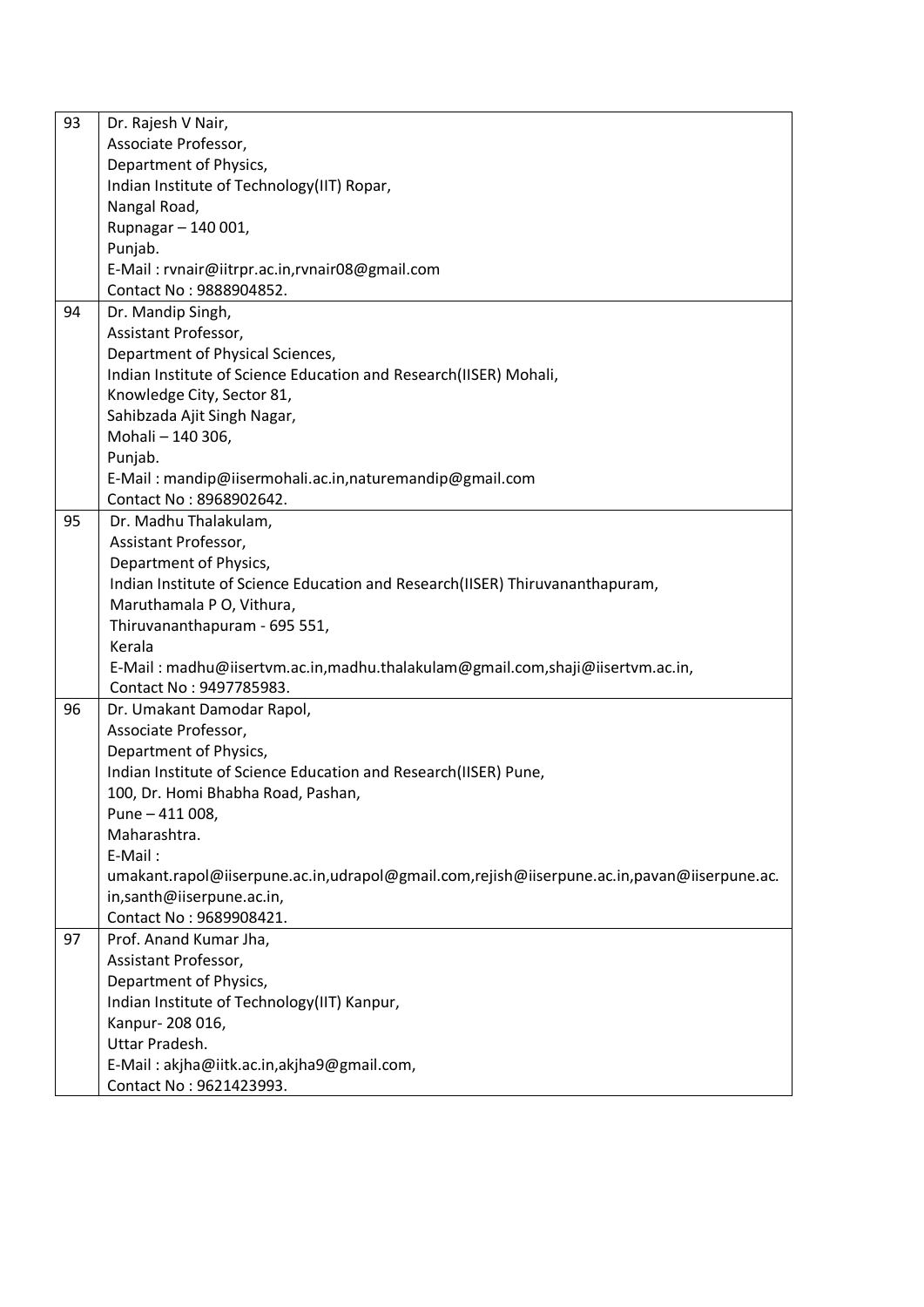| 93 | Dr. Rajesh V Nair,                                                                         |
|----|--------------------------------------------------------------------------------------------|
|    | Associate Professor,                                                                       |
|    | Department of Physics,                                                                     |
|    | Indian Institute of Technology(IIT) Ropar,                                                 |
|    | Nangal Road,                                                                               |
|    | Rupnagar - 140 001,                                                                        |
|    | Punjab.                                                                                    |
|    | E-Mail: rvnair@iitrpr.ac.in,rvnair08@gmail.com                                             |
|    | Contact No: 9888904852.                                                                    |
| 94 | Dr. Mandip Singh,                                                                          |
|    | Assistant Professor,                                                                       |
|    | Department of Physical Sciences,                                                           |
|    | Indian Institute of Science Education and Research(IISER) Mohali,                          |
|    | Knowledge City, Sector 81,                                                                 |
|    | Sahibzada Ajit Singh Nagar,                                                                |
|    | Mohali - 140 306,                                                                          |
|    |                                                                                            |
|    | Punjab.                                                                                    |
|    | E-Mail: mandip@iisermohali.ac.in,naturemandip@gmail.com                                    |
|    | Contact No: 8968902642.                                                                    |
| 95 | Dr. Madhu Thalakulam,                                                                      |
|    | Assistant Professor,                                                                       |
|    | Department of Physics,                                                                     |
|    | Indian Institute of Science Education and Research(IISER) Thiruvananthapuram,              |
|    | Maruthamala P O, Vithura,                                                                  |
|    | Thiruvananthapuram - 695 551,                                                              |
|    | Kerala                                                                                     |
|    | E-Mail: madhu@iisertvm.ac.in,madhu.thalakulam@gmail.com,shaji@iisertvm.ac.in,              |
|    | Contact No: 9497785983.                                                                    |
| 96 | Dr. Umakant Damodar Rapol,                                                                 |
|    | Associate Professor,                                                                       |
|    | Department of Physics,                                                                     |
|    | Indian Institute of Science Education and Research(IISER) Pune,                            |
|    | 100, Dr. Homi Bhabha Road, Pashan,                                                         |
|    | Pune - 411 008,                                                                            |
|    | Maharashtra.                                                                               |
|    | E-Mail:                                                                                    |
|    | umakant.rapol@iiserpune.ac.in,udrapol@gmail.com,rejish@iiserpune.ac.in,pavan@iiserpune.ac. |
|    | in,santh@iiserpune.ac.in,                                                                  |
|    | Contact No: 9689908421.                                                                    |
| 97 | Prof. Anand Kumar Jha,                                                                     |
|    | Assistant Professor,                                                                       |
|    | Department of Physics,                                                                     |
|    | Indian Institute of Technology(IIT) Kanpur,                                                |
|    | Kanpur-208 016,                                                                            |
|    | Uttar Pradesh.                                                                             |
|    | E-Mail: akjha@iitk.ac.in,akjha9@gmail.com,                                                 |
|    | Contact No: 9621423993.                                                                    |
|    |                                                                                            |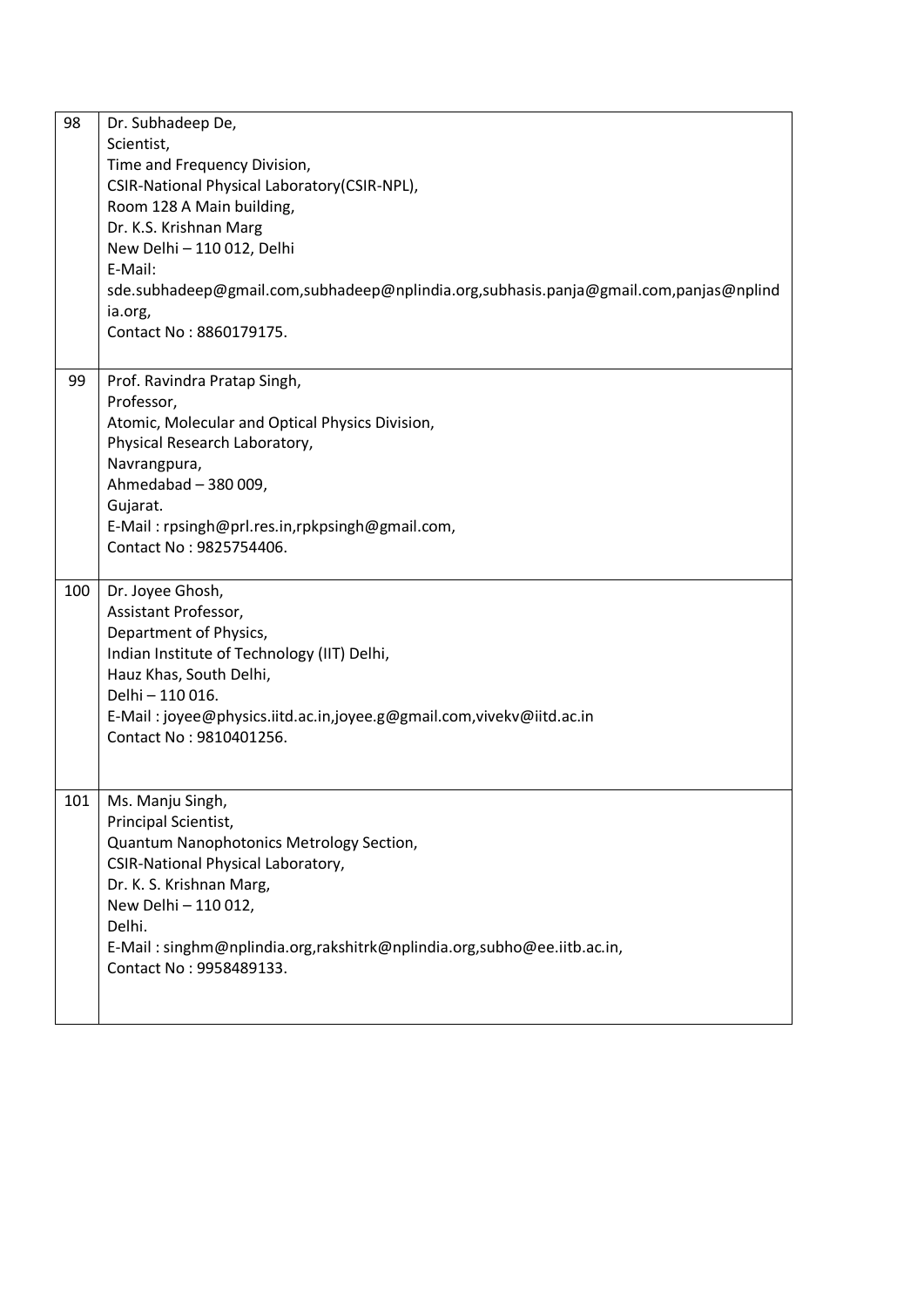| 98  | Dr. Subhadeep De,                                                                     |
|-----|---------------------------------------------------------------------------------------|
|     | Scientist,                                                                            |
|     | Time and Frequency Division,                                                          |
|     | CSIR-National Physical Laboratory(CSIR-NPL),                                          |
|     | Room 128 A Main building,                                                             |
|     | Dr. K.S. Krishnan Marg                                                                |
|     | New Delhi - 110 012, Delhi                                                            |
|     | E-Mail:                                                                               |
|     | sde.subhadeep@gmail.com,subhadeep@nplindia.org,subhasis.panja@gmail.com,panjas@nplind |
|     | ia.org,                                                                               |
|     | Contact No: 8860179175.                                                               |
|     |                                                                                       |
| 99  | Prof. Ravindra Pratap Singh,                                                          |
|     | Professor,                                                                            |
|     | Atomic, Molecular and Optical Physics Division,                                       |
|     | Physical Research Laboratory,                                                         |
|     | Navrangpura,                                                                          |
|     | Ahmedabad - 380 009,                                                                  |
|     | Gujarat.                                                                              |
|     | E-Mail: rpsingh@prl.res.in,rpkpsingh@gmail.com,                                       |
|     | Contact No: 9825754406.                                                               |
|     |                                                                                       |
| 100 | Dr. Joyee Ghosh,                                                                      |
|     | Assistant Professor,                                                                  |
|     | Department of Physics,                                                                |
|     | Indian Institute of Technology (IIT) Delhi,                                           |
|     | Hauz Khas, South Delhi,                                                               |
|     | Delhi - 110 016.                                                                      |
|     | E-Mail: joyee@physics.iitd.ac.in,joyee.g@gmail.com,vivekv@iitd.ac.in                  |
|     | Contact No: 9810401256.                                                               |
|     |                                                                                       |
|     |                                                                                       |
| 101 | Ms. Manju Singh,                                                                      |
|     | Principal Scientist,                                                                  |
|     | Quantum Nanophotonics Metrology Section,                                              |
|     | CSIR-National Physical Laboratory,                                                    |
|     | Dr. K. S. Krishnan Marg,                                                              |
|     | New Delhi - 110 012,                                                                  |
|     | Delhi.                                                                                |
|     | E-Mail: singhm@nplindia.org,rakshitrk@nplindia.org,subho@ee.iitb.ac.in,               |
|     | Contact No: 9958489133.                                                               |
|     |                                                                                       |
|     |                                                                                       |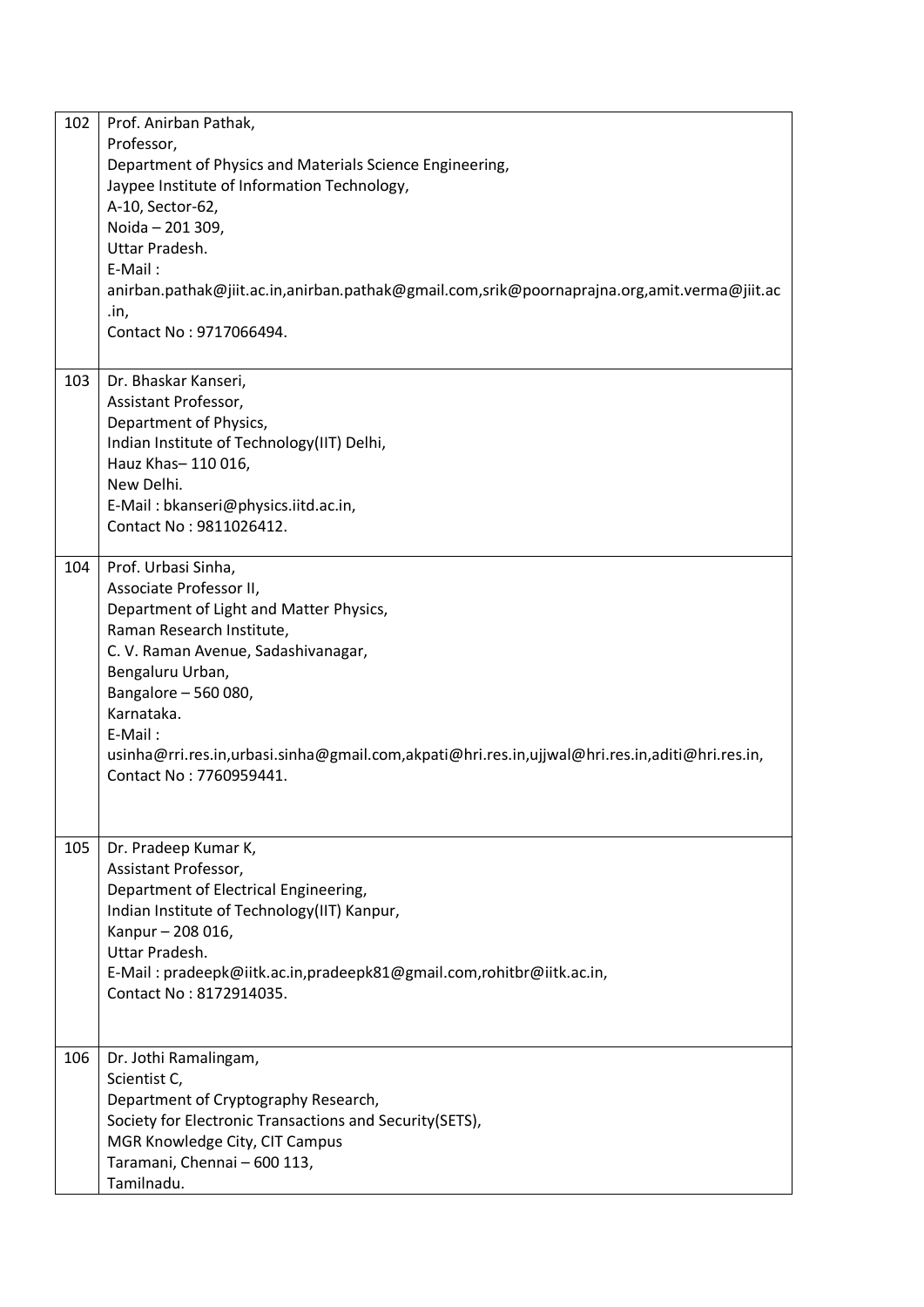| 102 | Prof. Anirban Pathak,<br>Professor,<br>Department of Physics and Materials Science Engineering,<br>Jaypee Institute of Information Technology,<br>A-10, Sector-62,<br>Noida - 201 309,<br>Uttar Pradesh.<br>E-Mail:<br>anirban.pathak@jiit.ac.in,anirban.pathak@gmail.com,srik@poornaprajna.org,amit.verma@jiit.ac<br>.in,<br>Contact No: 9717066494.           |
|-----|-----------------------------------------------------------------------------------------------------------------------------------------------------------------------------------------------------------------------------------------------------------------------------------------------------------------------------------------------------------------|
| 103 | Dr. Bhaskar Kanseri,<br>Assistant Professor,<br>Department of Physics,<br>Indian Institute of Technology(IIT) Delhi,<br>Hauz Khas-110016,<br>New Delhi.<br>E-Mail: bkanseri@physics.iitd.ac.in,<br>Contact No: 9811026412.                                                                                                                                      |
| 104 | Prof. Urbasi Sinha,<br>Associate Professor II,<br>Department of Light and Matter Physics,<br>Raman Research Institute,<br>C. V. Raman Avenue, Sadashivanagar,<br>Bengaluru Urban,<br>Bangalore - 560 080,<br>Karnataka.<br>E-Mail:<br>usinha@rri.res.in,urbasi.sinha@gmail.com,akpati@hri.res.in,ujjwal@hri.res.in,aditi@hri.res.in,<br>Contact No: 7760959441. |
| 105 | Dr. Pradeep Kumar K,<br>Assistant Professor,<br>Department of Electrical Engineering,<br>Indian Institute of Technology(IIT) Kanpur,<br>Kanpur - 208 016,<br>Uttar Pradesh.<br>E-Mail: pradeepk@iitk.ac.in,pradeepk81@gmail.com,rohitbr@iitk.ac.in,<br>Contact No: 8172914035.                                                                                  |
| 106 | Dr. Jothi Ramalingam,<br>Scientist C,<br>Department of Cryptography Research,<br>Society for Electronic Transactions and Security (SETS),<br>MGR Knowledge City, CIT Campus<br>Taramani, Chennai - 600 113,<br>Tamilnadu.                                                                                                                                       |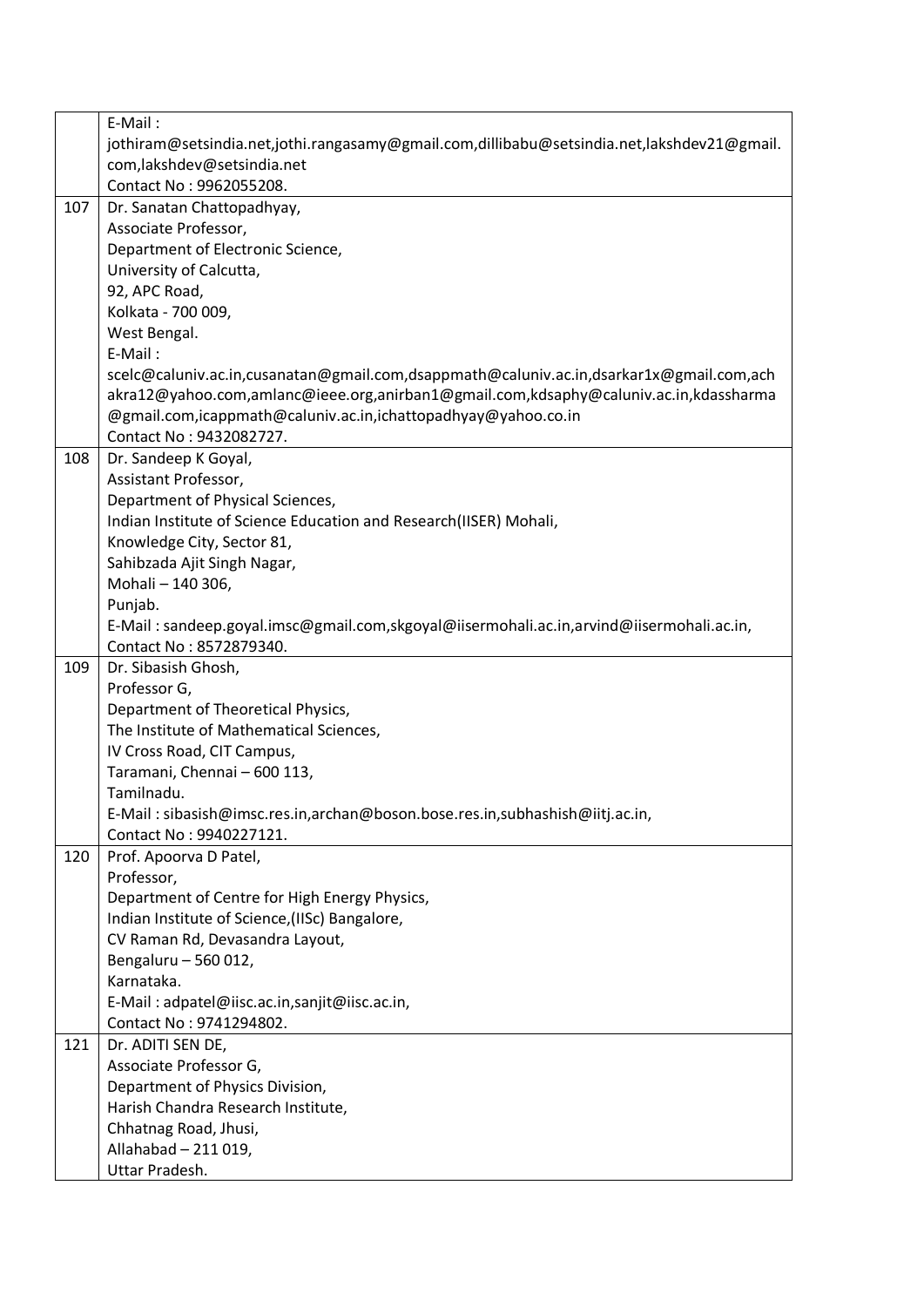| jothiram@setsindia.net,jothi.rangasamy@gmail.com,dillibabu@setsindia.net,lakshdev21@gmail.<br>com, lakshdev@setsindia.net<br>Contact No: 9962055208.<br>107<br>Dr. Sanatan Chattopadhyay,<br>Associate Professor,<br>Department of Electronic Science,<br>University of Calcutta,<br>92, APC Road,<br>Kolkata - 700 009,<br>West Bengal.<br>E-Mail:<br>scelc@caluniv.ac.in,cusanatan@gmail.com,dsappmath@caluniv.ac.in,dsarkar1x@gmail.com,ach<br>akra12@yahoo.com,amlanc@ieee.org,anirban1@gmail.com,kdsaphy@caluniv.ac.in,kdassharma<br>@gmail.com,icappmath@caluniv.ac.in,ichattopadhyay@yahoo.co.in<br>Contact No: 9432082727.<br>108<br>Dr. Sandeep K Goyal, |
|-------------------------------------------------------------------------------------------------------------------------------------------------------------------------------------------------------------------------------------------------------------------------------------------------------------------------------------------------------------------------------------------------------------------------------------------------------------------------------------------------------------------------------------------------------------------------------------------------------------------------------------------------------------------|
|                                                                                                                                                                                                                                                                                                                                                                                                                                                                                                                                                                                                                                                                   |
|                                                                                                                                                                                                                                                                                                                                                                                                                                                                                                                                                                                                                                                                   |
|                                                                                                                                                                                                                                                                                                                                                                                                                                                                                                                                                                                                                                                                   |
|                                                                                                                                                                                                                                                                                                                                                                                                                                                                                                                                                                                                                                                                   |
|                                                                                                                                                                                                                                                                                                                                                                                                                                                                                                                                                                                                                                                                   |
|                                                                                                                                                                                                                                                                                                                                                                                                                                                                                                                                                                                                                                                                   |
|                                                                                                                                                                                                                                                                                                                                                                                                                                                                                                                                                                                                                                                                   |
|                                                                                                                                                                                                                                                                                                                                                                                                                                                                                                                                                                                                                                                                   |
|                                                                                                                                                                                                                                                                                                                                                                                                                                                                                                                                                                                                                                                                   |
|                                                                                                                                                                                                                                                                                                                                                                                                                                                                                                                                                                                                                                                                   |
|                                                                                                                                                                                                                                                                                                                                                                                                                                                                                                                                                                                                                                                                   |
|                                                                                                                                                                                                                                                                                                                                                                                                                                                                                                                                                                                                                                                                   |
|                                                                                                                                                                                                                                                                                                                                                                                                                                                                                                                                                                                                                                                                   |
|                                                                                                                                                                                                                                                                                                                                                                                                                                                                                                                                                                                                                                                                   |
|                                                                                                                                                                                                                                                                                                                                                                                                                                                                                                                                                                                                                                                                   |
|                                                                                                                                                                                                                                                                                                                                                                                                                                                                                                                                                                                                                                                                   |
| Assistant Professor,                                                                                                                                                                                                                                                                                                                                                                                                                                                                                                                                                                                                                                              |
| Department of Physical Sciences,                                                                                                                                                                                                                                                                                                                                                                                                                                                                                                                                                                                                                                  |
| Indian Institute of Science Education and Research(IISER) Mohali,                                                                                                                                                                                                                                                                                                                                                                                                                                                                                                                                                                                                 |
| Knowledge City, Sector 81,                                                                                                                                                                                                                                                                                                                                                                                                                                                                                                                                                                                                                                        |
| Sahibzada Ajit Singh Nagar,                                                                                                                                                                                                                                                                                                                                                                                                                                                                                                                                                                                                                                       |
| Mohali - 140 306,                                                                                                                                                                                                                                                                                                                                                                                                                                                                                                                                                                                                                                                 |
| Punjab.                                                                                                                                                                                                                                                                                                                                                                                                                                                                                                                                                                                                                                                           |
| E-Mail: sandeep.goyal.imsc@gmail.com,skgoyal@iisermohali.ac.in,arvind@iisermohali.ac.in,                                                                                                                                                                                                                                                                                                                                                                                                                                                                                                                                                                          |
| Contact No: 8572879340.                                                                                                                                                                                                                                                                                                                                                                                                                                                                                                                                                                                                                                           |
| 109<br>Dr. Sibasish Ghosh,                                                                                                                                                                                                                                                                                                                                                                                                                                                                                                                                                                                                                                        |
| Professor G,                                                                                                                                                                                                                                                                                                                                                                                                                                                                                                                                                                                                                                                      |
| Department of Theoretical Physics,                                                                                                                                                                                                                                                                                                                                                                                                                                                                                                                                                                                                                                |
| The Institute of Mathematical Sciences,                                                                                                                                                                                                                                                                                                                                                                                                                                                                                                                                                                                                                           |
| IV Cross Road, CIT Campus,                                                                                                                                                                                                                                                                                                                                                                                                                                                                                                                                                                                                                                        |
| Taramani, Chennai - 600 113,                                                                                                                                                                                                                                                                                                                                                                                                                                                                                                                                                                                                                                      |
| Tamilnadu.                                                                                                                                                                                                                                                                                                                                                                                                                                                                                                                                                                                                                                                        |
| E-Mail: sibasish@imsc.res.in,archan@boson.bose.res.in,subhashish@iitj.ac.in,                                                                                                                                                                                                                                                                                                                                                                                                                                                                                                                                                                                      |
| Contact No: 9940227121.                                                                                                                                                                                                                                                                                                                                                                                                                                                                                                                                                                                                                                           |
| 120<br>Prof. Apoorva D Patel,                                                                                                                                                                                                                                                                                                                                                                                                                                                                                                                                                                                                                                     |
| Professor,                                                                                                                                                                                                                                                                                                                                                                                                                                                                                                                                                                                                                                                        |
| Department of Centre for High Energy Physics,                                                                                                                                                                                                                                                                                                                                                                                                                                                                                                                                                                                                                     |
| Indian Institute of Science, (IISc) Bangalore,                                                                                                                                                                                                                                                                                                                                                                                                                                                                                                                                                                                                                    |
| CV Raman Rd, Devasandra Layout,                                                                                                                                                                                                                                                                                                                                                                                                                                                                                                                                                                                                                                   |
| Bengaluru - 560 012,                                                                                                                                                                                                                                                                                                                                                                                                                                                                                                                                                                                                                                              |
| Karnataka.                                                                                                                                                                                                                                                                                                                                                                                                                                                                                                                                                                                                                                                        |
| E-Mail: adpatel@iisc.ac.in,sanjit@iisc.ac.in,                                                                                                                                                                                                                                                                                                                                                                                                                                                                                                                                                                                                                     |
| Contact No: 9741294802.                                                                                                                                                                                                                                                                                                                                                                                                                                                                                                                                                                                                                                           |
| 121<br>Dr. ADITI SEN DE,                                                                                                                                                                                                                                                                                                                                                                                                                                                                                                                                                                                                                                          |
| Associate Professor G,                                                                                                                                                                                                                                                                                                                                                                                                                                                                                                                                                                                                                                            |
| Department of Physics Division,                                                                                                                                                                                                                                                                                                                                                                                                                                                                                                                                                                                                                                   |
| Harish Chandra Research Institute,                                                                                                                                                                                                                                                                                                                                                                                                                                                                                                                                                                                                                                |
| Chhatnag Road, Jhusi,                                                                                                                                                                                                                                                                                                                                                                                                                                                                                                                                                                                                                                             |
| Allahabad - 211 019,                                                                                                                                                                                                                                                                                                                                                                                                                                                                                                                                                                                                                                              |
| Uttar Pradesh.                                                                                                                                                                                                                                                                                                                                                                                                                                                                                                                                                                                                                                                    |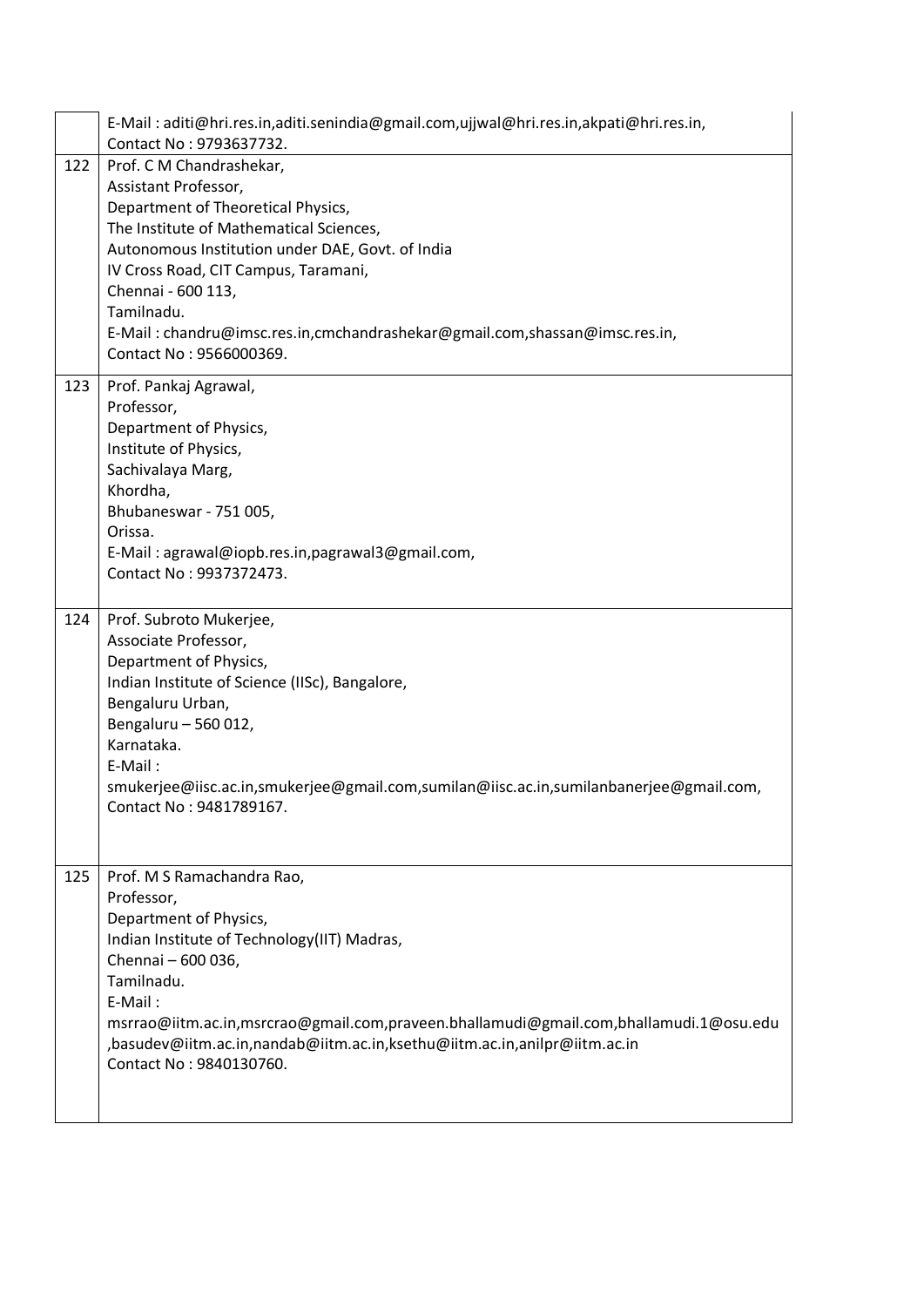|     | E-Mail: aditi@hri.res.in,aditi.senindia@gmail.com,ujjwal@hri.res.in,akpati@hri.res.in,<br>Contact No: 9793637732.                                                                                                                                                                                                                                                          |
|-----|----------------------------------------------------------------------------------------------------------------------------------------------------------------------------------------------------------------------------------------------------------------------------------------------------------------------------------------------------------------------------|
| 122 | Prof. C M Chandrashekar,<br>Assistant Professor,<br>Department of Theoretical Physics,<br>The Institute of Mathematical Sciences,<br>Autonomous Institution under DAE, Govt. of India<br>IV Cross Road, CIT Campus, Taramani,<br>Chennai - 600 113,<br>Tamilnadu.<br>E-Mail: chandru@imsc.res.in,cmchandrashekar@gmail.com,shassan@imsc.res.in,<br>Contact No: 9566000369. |
| 123 | Prof. Pankaj Agrawal,<br>Professor,<br>Department of Physics,<br>Institute of Physics,<br>Sachivalaya Marg,<br>Khordha,<br>Bhubaneswar - 751 005,<br>Orissa.<br>E-Mail: agrawal@iopb.res.in,pagrawal3@gmail.com,<br>Contact No: 9937372473.                                                                                                                                |
| 124 | Prof. Subroto Mukerjee,<br>Associate Professor,<br>Department of Physics,<br>Indian Institute of Science (IISc), Bangalore,<br>Bengaluru Urban,<br>Bengaluru - 560 012,<br>Karnataka.<br>E-Mail:<br>smukerjee@iisc.ac.in,smukerjee@gmail.com,sumilan@iisc.ac.in,sumilanbanerjee@gmail.com,<br>Contact No: 9481789167.                                                      |
| 125 | Prof. M S Ramachandra Rao,<br>Professor,<br>Department of Physics,<br>Indian Institute of Technology(IIT) Madras,<br>Chennai - 600 036,<br>Tamilnadu.<br>E-Mail:<br>msrrao@iitm.ac.in,msrcrao@gmail.com,praveen.bhallamudi@gmail.com,bhallamudi.1@osu.edu<br>,basudev@iitm.ac.in,nandab@iitm.ac.in,ksethu@iitm.ac.in,anilpr@iitm.ac.in<br>Contact No: 9840130760.          |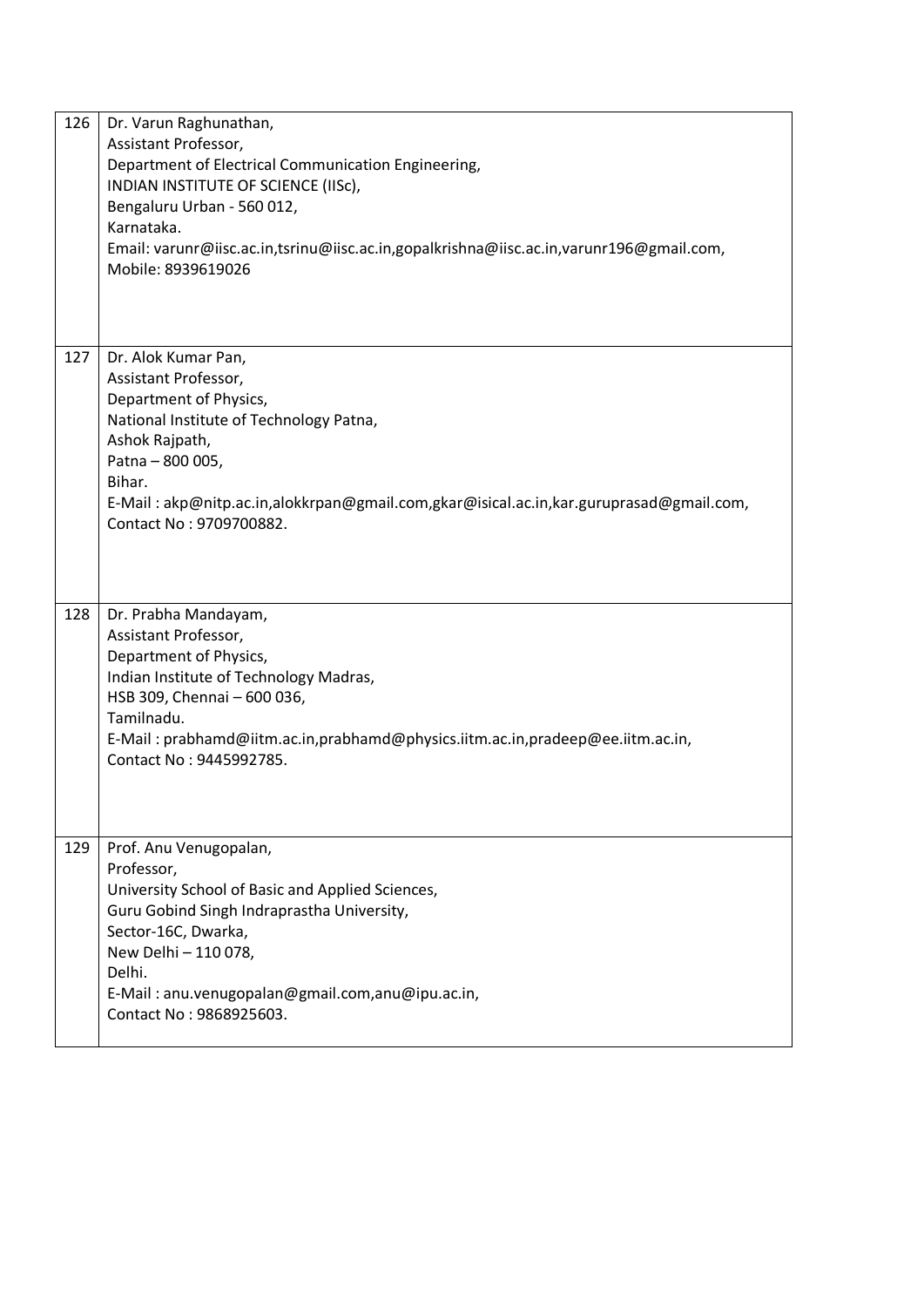| 126 | Dr. Varun Raghunathan,<br>Assistant Professor,<br>Department of Electrical Communication Engineering,<br>INDIAN INSTITUTE OF SCIENCE (IISC),<br>Bengaluru Urban - 560 012,<br>Karnataka.<br>Email: varunr@iisc.ac.in,tsrinu@iisc.ac.in,gopalkrishna@iisc.ac.in,varunr196@gmail.com,<br>Mobile: 8939619026 |
|-----|-----------------------------------------------------------------------------------------------------------------------------------------------------------------------------------------------------------------------------------------------------------------------------------------------------------|
|     |                                                                                                                                                                                                                                                                                                           |
| 127 | Dr. Alok Kumar Pan,<br>Assistant Professor,<br>Department of Physics,<br>National Institute of Technology Patna,<br>Ashok Rajpath,<br>Patna - 800 005,<br>Bihar.<br>E-Mail: akp@nitp.ac.in,alokkrpan@gmail.com,gkar@isical.ac.in,kar.guruprasad@gmail.com,<br>Contact No: 9709700882.                     |
| 128 | Dr. Prabha Mandayam,<br>Assistant Professor,<br>Department of Physics,<br>Indian Institute of Technology Madras,<br>HSB 309, Chennai - 600 036,<br>Tamilnadu.<br>E-Mail: prabhamd@iitm.ac.in,prabhamd@physics.iitm.ac.in,pradeep@ee.iitm.ac.in,<br>Contact No: 9445992785.                                |
| 129 | Prof. Anu Venugopalan,<br>Professor,<br>University School of Basic and Applied Sciences,<br>Guru Gobind Singh Indraprastha University,<br>Sector-16C, Dwarka,<br>New Delhi - 110 078,<br>Delhi.<br>E-Mail: anu.venugopalan@gmail.com,anu@ipu.ac.in,<br>Contact No: 9868925603.                            |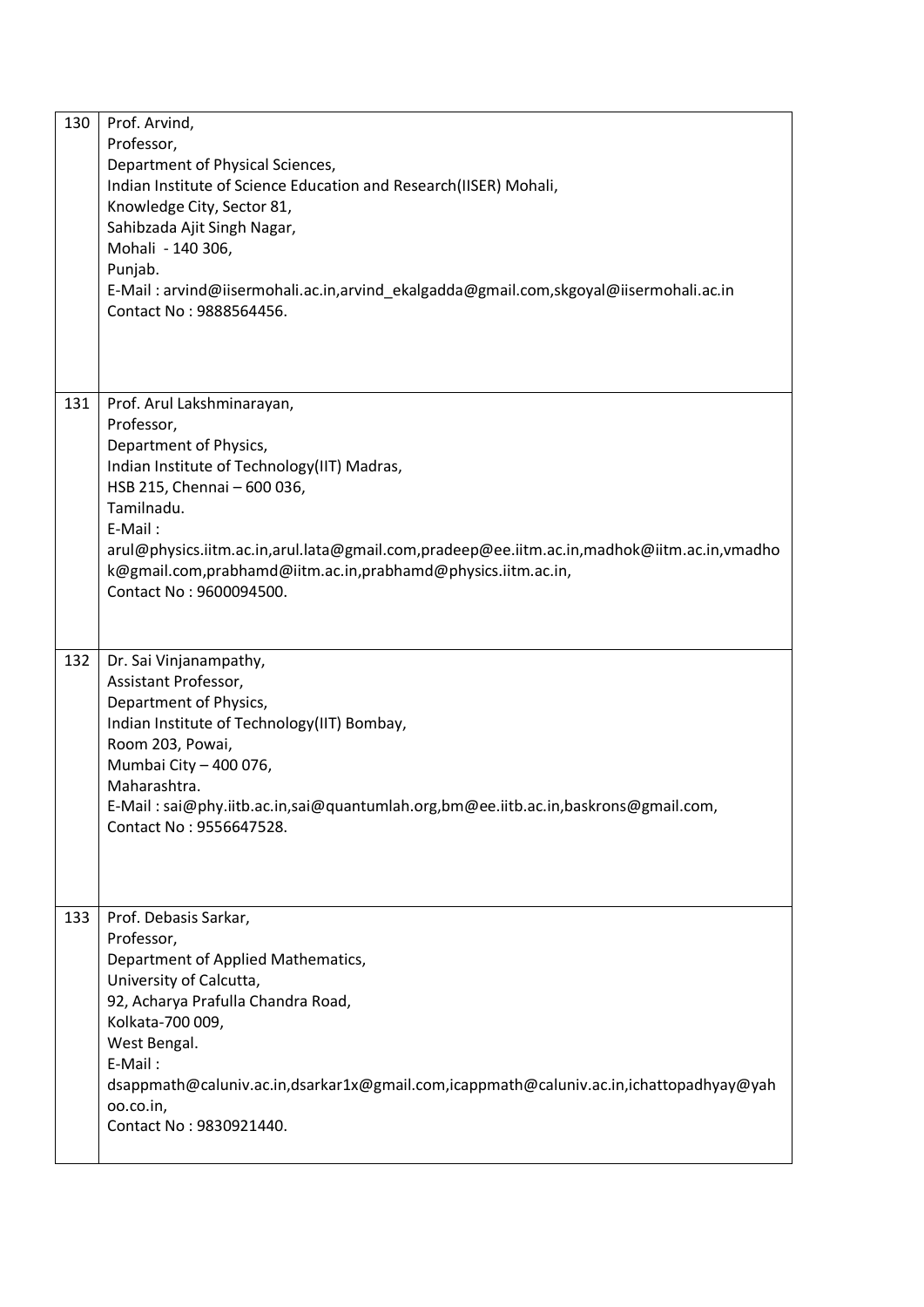| 130 | Prof. Arvind,<br>Professor,<br>Department of Physical Sciences,<br>Indian Institute of Science Education and Research(IISER) Mohali,<br>Knowledge City, Sector 81,<br>Sahibzada Ajit Singh Nagar,<br>Mohali - 140 306,<br>Punjab.<br>E-Mail: arvind@iisermohali.ac.in,arvind_ekalgadda@gmail.com,skgoyal@iisermohali.ac.in<br>Contact No: 9888564456.              |
|-----|--------------------------------------------------------------------------------------------------------------------------------------------------------------------------------------------------------------------------------------------------------------------------------------------------------------------------------------------------------------------|
| 131 | Prof. Arul Lakshminarayan,<br>Professor,<br>Department of Physics,<br>Indian Institute of Technology(IIT) Madras,<br>HSB 215, Chennai - 600 036,<br>Tamilnadu.<br>E-Mail:<br>arul@physics.iitm.ac.in,arul.lata@gmail.com,pradeep@ee.iitm.ac.in,madhok@iitm.ac.in,vmadho<br>k@gmail.com,prabhamd@iitm.ac.in,prabhamd@physics.iitm.ac.in,<br>Contact No: 9600094500. |
| 132 | Dr. Sai Vinjanampathy,<br>Assistant Professor,<br>Department of Physics,<br>Indian Institute of Technology(IIT) Bombay,<br>Room 203, Powai,<br>Mumbai City - 400 076,<br>Maharashtra.<br>E-Mail: sai@phy.iitb.ac.in,sai@quantumlah.org,bm@ee.iitb.ac.in,baskrons@gmail.com<br>Contact No: 9556647528.                                                              |
| 133 | Prof. Debasis Sarkar,<br>Professor,<br>Department of Applied Mathematics,<br>University of Calcutta,<br>92, Acharya Prafulla Chandra Road,<br>Kolkata-700 009,<br>West Bengal.<br>E-Mail:<br>dsappmath@caluniv.ac.in,dsarkar1x@gmail.com,icappmath@caluniv.ac.in,ichattopadhyay@yah<br>00.co.in,<br>Contact No: 9830921440.                                        |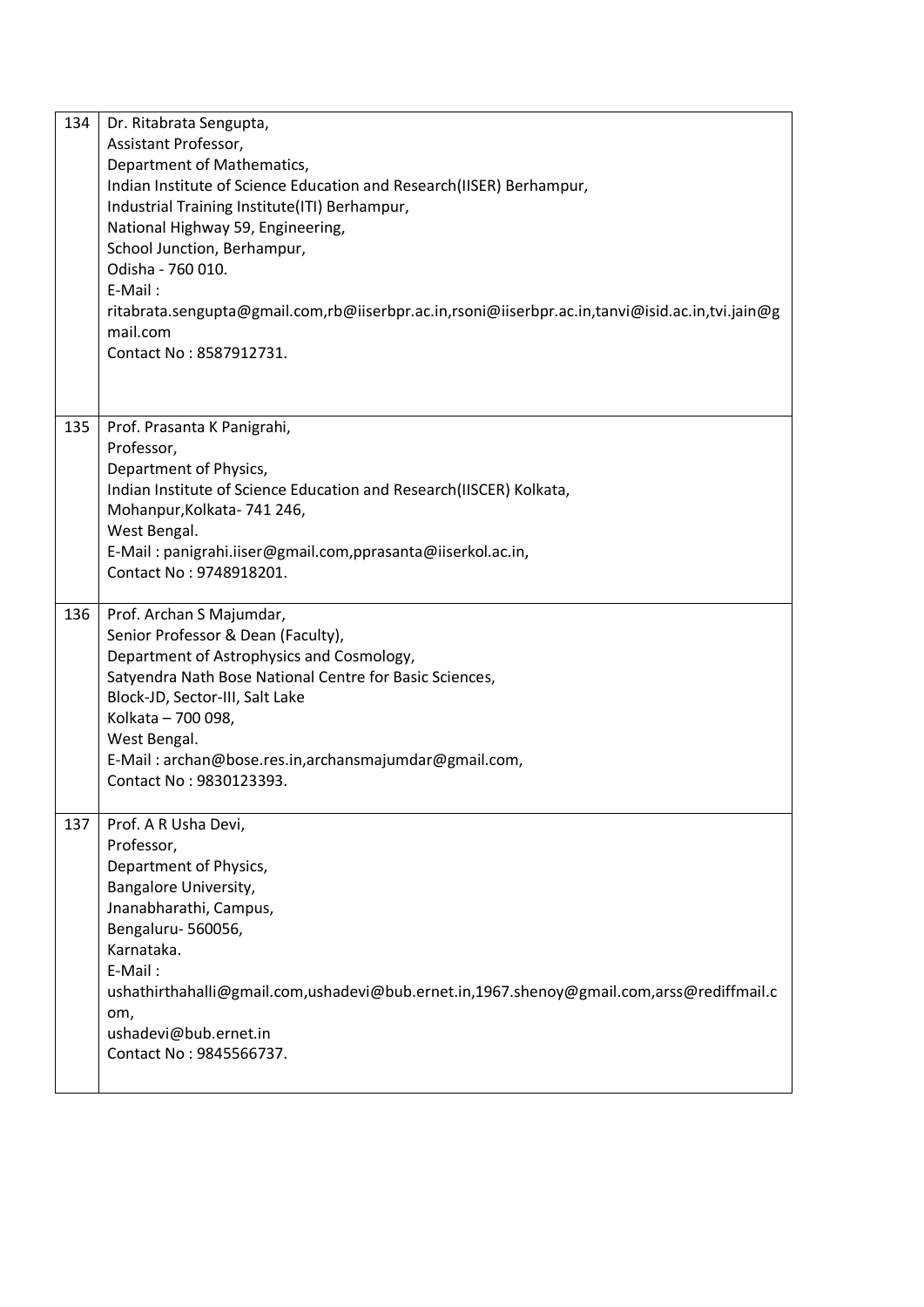| 134 | Dr. Ritabrata Sengupta,<br>Assistant Professor,<br>Department of Mathematics,<br>Indian Institute of Science Education and Research(IISER) Berhampur,<br>Industrial Training Institute(ITI) Berhampur,<br>National Highway 59, Engineering,<br>School Junction, Berhampur,<br>Odisha - 760 010.<br>$E-Mail:$<br>ritabrata.sengupta@gmail.com,rb@iiserbpr.ac.in,rsoni@iiserbpr.ac.in,tanvi@isid.ac.in,tvi.jain@g<br>mail.com<br>Contact No: 8587912731. |
|-----|--------------------------------------------------------------------------------------------------------------------------------------------------------------------------------------------------------------------------------------------------------------------------------------------------------------------------------------------------------------------------------------------------------------------------------------------------------|
| 135 | Prof. Prasanta K Panigrahi,                                                                                                                                                                                                                                                                                                                                                                                                                            |
|     | Professor,                                                                                                                                                                                                                                                                                                                                                                                                                                             |
|     | Department of Physics,                                                                                                                                                                                                                                                                                                                                                                                                                                 |
|     | Indian Institute of Science Education and Research(IISCER) Kolkata,<br>Mohanpur, Kolkata- 741 246,                                                                                                                                                                                                                                                                                                                                                     |
|     | West Bengal.                                                                                                                                                                                                                                                                                                                                                                                                                                           |
|     | E-Mail: panigrahi.iiser@gmail.com,pprasanta@iiserkol.ac.in,                                                                                                                                                                                                                                                                                                                                                                                            |
|     | Contact No: 9748918201.                                                                                                                                                                                                                                                                                                                                                                                                                                |
| 136 | Prof. Archan S Majumdar,<br>Senior Professor & Dean (Faculty),<br>Department of Astrophysics and Cosmology,<br>Satyendra Nath Bose National Centre for Basic Sciences,<br>Block-JD, Sector-III, Salt Lake<br>Kolkata - 700 098,<br>West Bengal.<br>E-Mail: archan@bose.res.in, archansmajumdar@gmail.com,<br>Contact No: 9830123393.                                                                                                                   |
| 137 | Prof. A R Usha Devi,<br>Professor,                                                                                                                                                                                                                                                                                                                                                                                                                     |
|     | Department of Physics,                                                                                                                                                                                                                                                                                                                                                                                                                                 |
|     | Bangalore University,                                                                                                                                                                                                                                                                                                                                                                                                                                  |
|     | Jnanabharathi, Campus,                                                                                                                                                                                                                                                                                                                                                                                                                                 |
|     | Bengaluru-560056,<br>Karnataka.                                                                                                                                                                                                                                                                                                                                                                                                                        |
|     | E-Mail:                                                                                                                                                                                                                                                                                                                                                                                                                                                |
|     | ushathirthahalli@gmail.com,ushadevi@bub.ernet.in,1967.shenoy@gmail.com,arss@rediffmail.c<br>om,                                                                                                                                                                                                                                                                                                                                                        |
|     | ushadevi@bub.ernet.in                                                                                                                                                                                                                                                                                                                                                                                                                                  |
|     | Contact No: 9845566737.                                                                                                                                                                                                                                                                                                                                                                                                                                |
|     |                                                                                                                                                                                                                                                                                                                                                                                                                                                        |